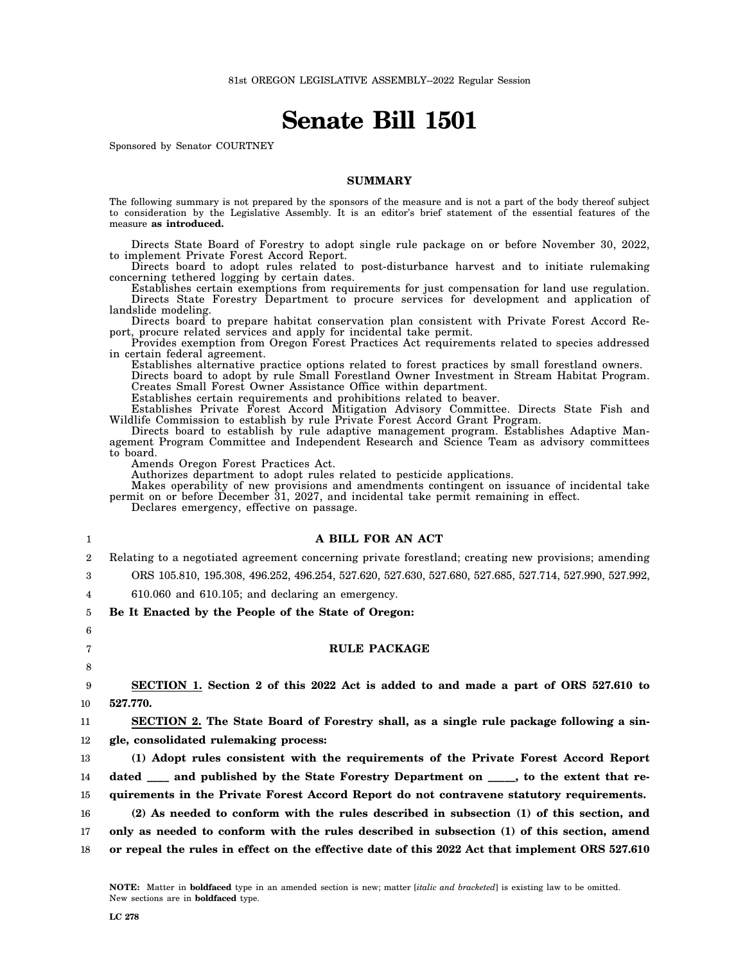# **Senate Bill 1501**

Sponsored by Senator COURTNEY

# **SUMMARY**

The following summary is not prepared by the sponsors of the measure and is not a part of the body thereof subject to consideration by the Legislative Assembly. It is an editor's brief statement of the essential features of the measure **as introduced.**

Directs State Board of Forestry to adopt single rule package on or before November 30, 2022, to implement Private Forest Accord Report.

Directs board to adopt rules related to post-disturbance harvest and to initiate rulemaking concerning tethered logging by certain dates.

Establishes certain exemptions from requirements for just compensation for land use regulation. Directs State Forestry Department to procure services for development and application of landslide modeling.

Directs board to prepare habitat conservation plan consistent with Private Forest Accord Report, procure related services and apply for incidental take permit.

Provides exemption from Oregon Forest Practices Act requirements related to species addressed in certain federal agreement.

Establishes alternative practice options related to forest practices by small forestland owners. Directs board to adopt by rule Small Forestland Owner Investment in Stream Habitat Program.

Creates Small Forest Owner Assistance Office within department.

Establishes certain requirements and prohibitions related to beaver.

Establishes Private Forest Accord Mitigation Advisory Committee. Directs State Fish and Wildlife Commission to establish by rule Private Forest Accord Grant Program.

Directs board to establish by rule adaptive management program. Establishes Adaptive Management Program Committee and Independent Research and Science Team as advisory committees to board.

Amends Oregon Forest Practices Act.

Authorizes department to adopt rules related to pesticide applications.

Makes operability of new provisions and amendments contingent on issuance of incidental take permit on or before December 31, 2027, and incidental take permit remaining in effect.

**A BILL FOR AN ACT**

Declares emergency, effective on passage.

| $\overline{2}$ | Relating to a negotiated agreement concerning private forestland; creating new provisions; amending    |
|----------------|--------------------------------------------------------------------------------------------------------|
| 3              | ORS 105.810, 195.308, 496.252, 496.254, 527.620, 527.630, 527.680, 527.685, 527.714, 527.990, 527.992, |
| 4              | $610.060$ and $610.105$ ; and declaring an emergency.                                                  |
| 5              | Be It Enacted by the People of the State of Oregon:                                                    |
| 6              |                                                                                                        |
| 7              | <b>RULE PACKAGE</b>                                                                                    |
| 8              |                                                                                                        |
| 9              | SECTION 1. Section 2 of this 2022 Act is added to and made a part of ORS 527.610 to                    |
| 10             | 527.770.                                                                                               |
| 11             | SECTION 2. The State Board of Forestry shall, as a single rule package following a sin-                |
| $12\,$         | gle, consolidated rulemaking process:                                                                  |
| 13             | (1) Adopt rules consistent with the requirements of the Private Forest Accord Report                   |
| 14             | dated <sub>__</sub> and published by the State Forestry Department on ____, to the extent that re-     |
| 15             | quirements in the Private Forest Accord Report do not contravene statutory requirements.               |
| 16             | (2) As needed to conform with the rules described in subsection (1) of this section, and               |
| 17             | only as needed to conform with the rules described in subsection (1) of this section, amend            |
| 18             | or repeal the rules in effect on the effective date of this 2022 Act that implement ORS 527.610        |
|                |                                                                                                        |

1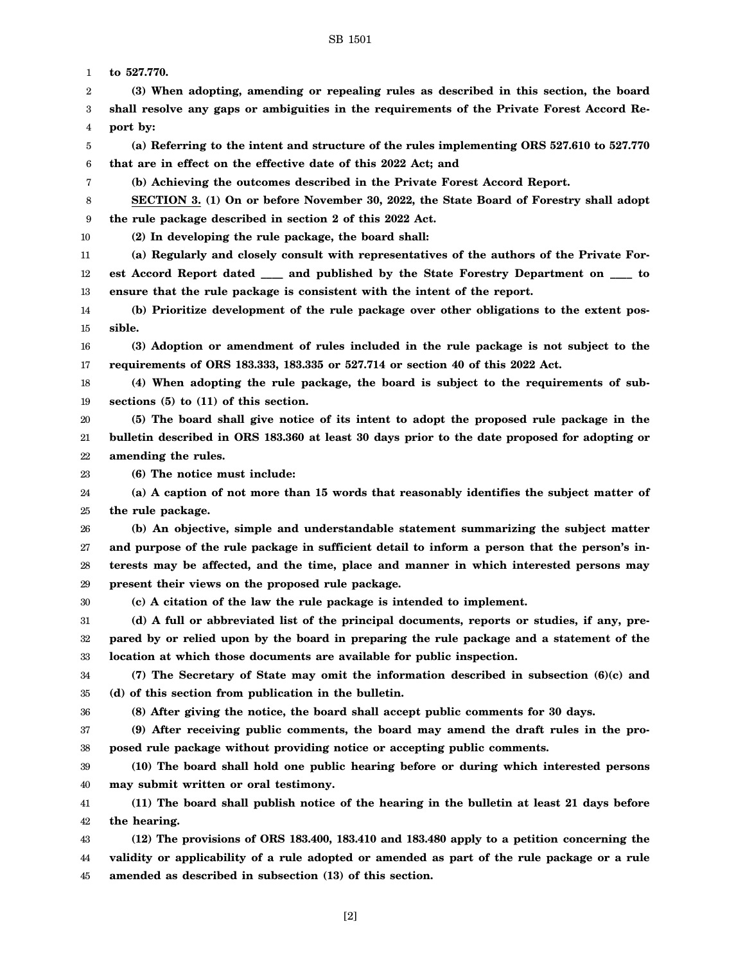1 **to 527.770.**

2 **(3) When adopting, amending or repealing rules as described in this section, the board shall resolve any gaps or ambiguities in the requirements of the Private Forest Accord Re-**

4 **port by:**

3

7

5 6 **(a) Referring to the intent and structure of the rules implementing ORS 527.610 to 527.770 that are in effect on the effective date of this 2022 Act; and**

**(b) Achieving the outcomes described in the Private Forest Accord Report.**

8 9 **SECTION 3. (1) On or before November 30, 2022, the State Board of Forestry shall adopt the rule package described in section 2 of this 2022 Act.**

10 **(2) In developing the rule package, the board shall:**

11 **(a) Regularly and closely consult with representatives of the authors of the Private For-**

12 13 **est Accord Report dated \_\_\_\_ and published by the State Forestry Department on \_\_\_\_ to ensure that the rule package is consistent with the intent of the report.**

14 15 **(b) Prioritize development of the rule package over other obligations to the extent possible.**

16 17 **(3) Adoption or amendment of rules included in the rule package is not subject to the requirements of ORS 183.333, 183.335 or 527.714 or section 40 of this 2022 Act.**

18 19 **(4) When adopting the rule package, the board is subject to the requirements of subsections (5) to (11) of this section.**

20 21 22 **(5) The board shall give notice of its intent to adopt the proposed rule package in the bulletin described in ORS 183.360 at least 30 days prior to the date proposed for adopting or amending the rules.**

23 **(6) The notice must include:**

24 25 **(a) A caption of not more than 15 words that reasonably identifies the subject matter of the rule package.**

26 27 28 29 **(b) An objective, simple and understandable statement summarizing the subject matter and purpose of the rule package in sufficient detail to inform a person that the person's interests may be affected, and the time, place and manner in which interested persons may present their views on the proposed rule package.**

30

**(c) A citation of the law the rule package is intended to implement.**

31 32 33 **(d) A full or abbreviated list of the principal documents, reports or studies, if any, prepared by or relied upon by the board in preparing the rule package and a statement of the location at which those documents are available for public inspection.**

34 35 **(7) The Secretary of State may omit the information described in subsection (6)(c) and (d) of this section from publication in the bulletin.**

36

**(8) After giving the notice, the board shall accept public comments for 30 days.**

37 38 **(9) After receiving public comments, the board may amend the draft rules in the proposed rule package without providing notice or accepting public comments.**

39 40 **(10) The board shall hold one public hearing before or during which interested persons may submit written or oral testimony.**

41 42 **(11) The board shall publish notice of the hearing in the bulletin at least 21 days before the hearing.**

43 44 45 **(12) The provisions of ORS 183.400, 183.410 and 183.480 apply to a petition concerning the validity or applicability of a rule adopted or amended as part of the rule package or a rule amended as described in subsection (13) of this section.**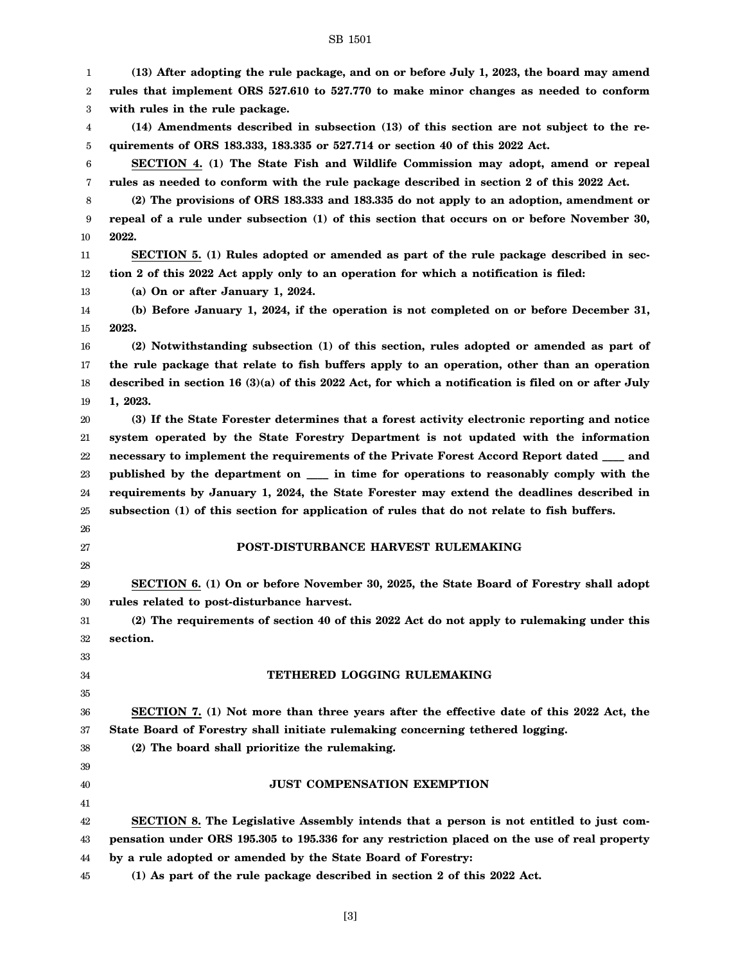1 2 3 4 5 6 7 8 9 10 11 12 13 14 15 16 17 18 19 20 21 22 23 24 25 26 27 28 29 30 31 32 33 34 35 36 37 38 39 40 41 42 43 44 45 **(13) After adopting the rule package, and on or before July 1, 2023, the board may amend rules that implement ORS 527.610 to 527.770 to make minor changes as needed to conform with rules in the rule package. (14) Amendments described in subsection (13) of this section are not subject to the requirements of ORS 183.333, 183.335 or 527.714 or section 40 of this 2022 Act. SECTION 4. (1) The State Fish and Wildlife Commission may adopt, amend or repeal rules as needed to conform with the rule package described in section 2 of this 2022 Act. (2) The provisions of ORS 183.333 and 183.335 do not apply to an adoption, amendment or repeal of a rule under subsection (1) of this section that occurs on or before November 30, 2022. SECTION 5. (1) Rules adopted or amended as part of the rule package described in section 2 of this 2022 Act apply only to an operation for which a notification is filed: (a) On or after January 1, 2024. (b) Before January 1, 2024, if the operation is not completed on or before December 31, 2023. (2) Notwithstanding subsection (1) of this section, rules adopted or amended as part of the rule package that relate to fish buffers apply to an operation, other than an operation described in section 16 (3)(a) of this 2022 Act, for which a notification is filed on or after July 1, 2023. (3) If the State Forester determines that a forest activity electronic reporting and notice system operated by the State Forestry Department is not updated with the information necessary to implement the requirements of the Private Forest Accord Report dated \_\_\_\_ and published by the department on \_\_\_\_ in time for operations to reasonably comply with the requirements by January 1, 2024, the State Forester may extend the deadlines described in subsection (1) of this section for application of rules that do not relate to fish buffers. POST-DISTURBANCE HARVEST RULEMAKING SECTION 6. (1) On or before November 30, 2025, the State Board of Forestry shall adopt rules related to post-disturbance harvest. (2) The requirements of section 40 of this 2022 Act do not apply to rulemaking under this section. TETHERED LOGGING RULEMAKING SECTION 7. (1) Not more than three years after the effective date of this 2022 Act, the State Board of Forestry shall initiate rulemaking concerning tethered logging. (2) The board shall prioritize the rulemaking. JUST COMPENSATION EXEMPTION SECTION 8. The Legislative Assembly intends that a person is not entitled to just compensation under ORS 195.305 to 195.336 for any restriction placed on the use of real property by a rule adopted or amended by the State Board of Forestry: (1) As part of the rule package described in section 2 of this 2022 Act.**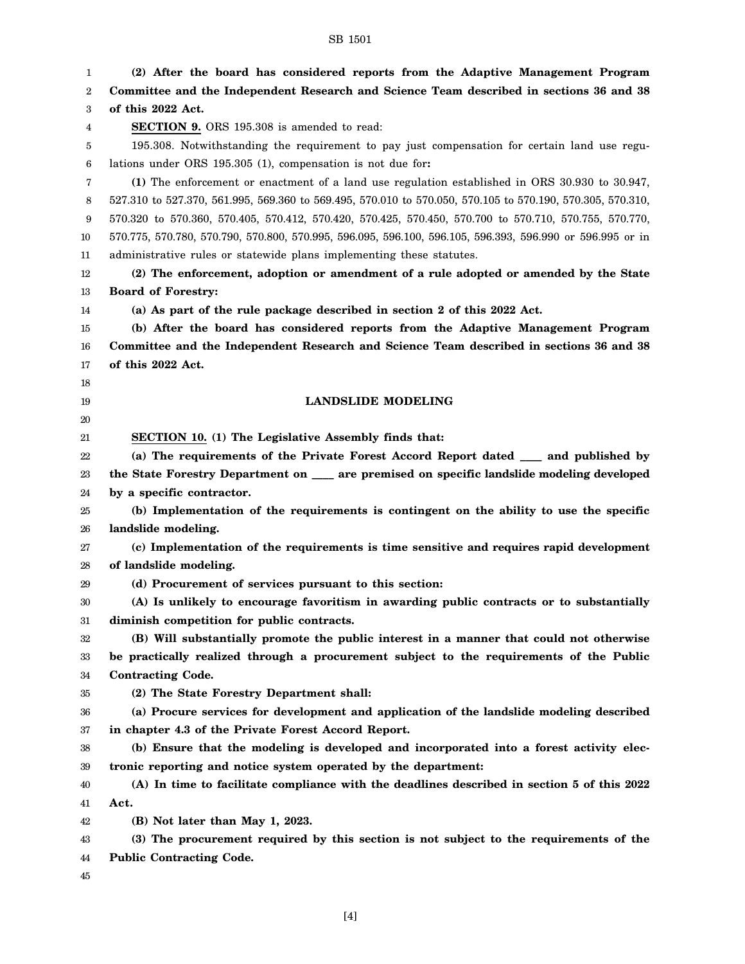| 1      | (2) After the board has considered reports from the Adaptive Management Program                            |
|--------|------------------------------------------------------------------------------------------------------------|
| 2      | Committee and the Independent Research and Science Team described in sections 36 and 38                    |
| 3      | of this 2022 Act.                                                                                          |
| 4      | SECTION 9. ORS 195.308 is amended to read:                                                                 |
| 5      | 195.308. Notwithstanding the requirement to pay just compensation for certain land use regu-               |
| 6      | lations under ORS 195.305 (1), compensation is not due for:                                                |
| 7      | (1) The enforcement or enactment of a land use regulation established in ORS 30.930 to 30.947,             |
| 8      | 527.310 to 527.370, 561.995, 569.360 to 569.495, 570.010 to 570.050, 570.105 to 570.190, 570.305, 570.310, |
| 9      | 570.320 to 570.360, 570.405, 570.412, 570.420, 570.425, 570.450, 570.700 to 570.710, 570.755, 570.770,     |
| 10     | 570.775, 570.780, 570.790, 570.800, 570.995, 596.095, 596.100, 596.105, 596.393, 596.990 or 596.995 or in  |
| 11     | administrative rules or statewide plans implementing these statutes.                                       |
| 12     | (2) The enforcement, adoption or amendment of a rule adopted or amended by the State                       |
| 13     | <b>Board of Forestry:</b>                                                                                  |
| 14     | (a) As part of the rule package described in section 2 of this 2022 Act.                                   |
| 15     | (b) After the board has considered reports from the Adaptive Management Program                            |
| 16     | Committee and the Independent Research and Science Team described in sections 36 and 38                    |
| 17     | of this 2022 Act.                                                                                          |
| 18     |                                                                                                            |
| 19     | <b>LANDSLIDE MODELING</b>                                                                                  |
| 20     |                                                                                                            |
| 21     | SECTION 10. (1) The Legislative Assembly finds that:                                                       |
| 22     | (a) The requirements of the Private Forest Accord Report dated __ and published by                         |
| 23     | the State Forestry Department on ___ are premised on specific landslide modeling developed                 |
| 24     | by a specific contractor.                                                                                  |
| 25     | (b) Implementation of the requirements is contingent on the ability to use the specific                    |
| 26     | landslide modeling.                                                                                        |
| 27     | (c) Implementation of the requirements is time sensitive and requires rapid development                    |
| 28     | of landslide modeling.                                                                                     |
| 29     | (d) Procurement of services pursuant to this section:                                                      |
| $30\,$ | (A) Is unlikely to encourage favoritism in awarding public contracts or to substantially                   |
| 31     | diminish competition for public contracts.                                                                 |
| 32     | (B) Will substantially promote the public interest in a manner that could not otherwise                    |
| 33     | be practically realized through a procurement subject to the requirements of the Public                    |
| 34     | <b>Contracting Code.</b>                                                                                   |
| 35     | (2) The State Forestry Department shall:                                                                   |
| 36     | (a) Procure services for development and application of the landslide modeling described                   |
| 37     | in chapter 4.3 of the Private Forest Accord Report.                                                        |
| 38     | (b) Ensure that the modeling is developed and incorporated into a forest activity elec-                    |
| 39     | tronic reporting and notice system operated by the department:                                             |
| 40     | (A) In time to facilitate compliance with the deadlines described in section 5 of this 2022                |
| 41     | Act.                                                                                                       |
| 42     | (B) Not later than May 1, 2023.                                                                            |
| 43     | (3) The procurement required by this section is not subject to the requirements of the                     |
| 44     | <b>Public Contracting Code.</b>                                                                            |
| 45     |                                                                                                            |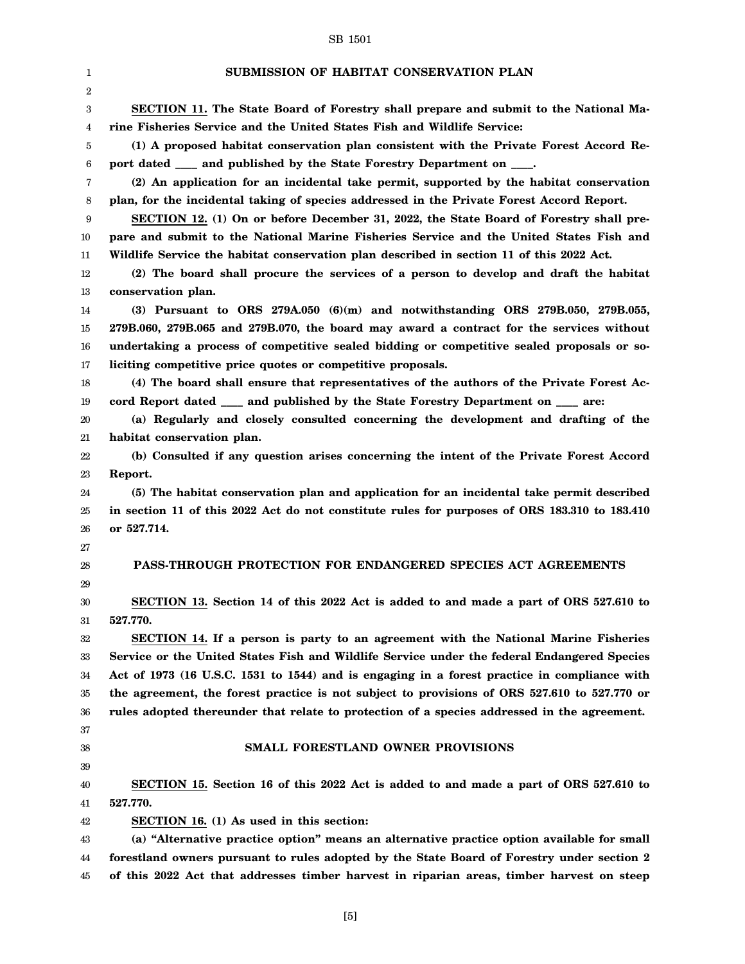| 1  | SUBMISSION OF HABITAT CONSERVATION PLAN                                                       |
|----|-----------------------------------------------------------------------------------------------|
| 2  |                                                                                               |
| 3  | SECTION 11. The State Board of Forestry shall prepare and submit to the National Ma-          |
| 4  | rine Fisheries Service and the United States Fish and Wildlife Service:                       |
| 5  | (1) A proposed habitat conservation plan consistent with the Private Forest Accord Re-        |
| 6  | port dated ____ and published by the State Forestry Department on ____.                       |
| 7  | (2) An application for an incidental take permit, supported by the habitat conservation       |
| 8  | plan, for the incidental taking of species addressed in the Private Forest Accord Report.     |
| 9  | SECTION 12. (1) On or before December 31, 2022, the State Board of Forestry shall pre-        |
| 10 | pare and submit to the National Marine Fisheries Service and the United States Fish and       |
| 11 | Wildlife Service the habitat conservation plan described in section 11 of this 2022 Act.      |
| 12 | (2) The board shall procure the services of a person to develop and draft the habitat         |
| 13 | conservation plan.                                                                            |
| 14 | (3) Pursuant to ORS 279A.050 $(6)(m)$ and notwithstanding ORS 279B.050, 279B.055,             |
| 15 | 279B.060, 279B.065 and 279B.070, the board may award a contract for the services without      |
| 16 | undertaking a process of competitive sealed bidding or competitive sealed proposals or so-    |
| 17 | liciting competitive price quotes or competitive proposals.                                   |
| 18 | (4) The board shall ensure that representatives of the authors of the Private Forest Ac-      |
| 19 | cord Report dated ____ and published by the State Forestry Department on ____ are:            |
| 20 | (a) Regularly and closely consulted concerning the development and drafting of the            |
| 21 | habitat conservation plan.                                                                    |
| 22 | (b) Consulted if any question arises concerning the intent of the Private Forest Accord       |
| 23 | Report.                                                                                       |
| 24 | (5) The habitat conservation plan and application for an incidental take permit described     |
| 25 | in section 11 of this 2022 Act do not constitute rules for purposes of ORS 183.310 to 183.410 |
| 26 | or 527.714.                                                                                   |
| 27 |                                                                                               |
| 28 | PASS-THROUGH PROTECTION FOR ENDANGERED SPECIES ACT AGREEMENTS                                 |
| 29 |                                                                                               |
| 30 | SECTION 13. Section 14 of this 2022 Act is added to and made a part of ORS 527.610 to         |
| 31 | 527.770.                                                                                      |
| 32 | SECTION 14. If a person is party to an agreement with the National Marine Fisheries           |
| 33 | Service or the United States Fish and Wildlife Service under the federal Endangered Species   |
| 34 | Act of 1973 (16 U.S.C. 1531 to 1544) and is engaging in a forest practice in compliance with  |
| 35 | the agreement, the forest practice is not subject to provisions of ORS 527.610 to 527.770 or  |
| 36 | rules adopted thereunder that relate to protection of a species addressed in the agreement.   |
| 37 |                                                                                               |
| 38 | SMALL FORESTLAND OWNER PROVISIONS                                                             |
| 39 |                                                                                               |
| 40 | SECTION 15. Section 16 of this 2022 Act is added to and made a part of ORS 527.610 to         |
| 41 | 527.770.                                                                                      |
| 42 | SECTION 16. (1) As used in this section:                                                      |
| 43 | (a) "Alternative practice option" means an alternative practice option available for small    |
| 44 | forestland owners pursuant to rules adopted by the State Board of Forestry under section 2    |
| 45 | of this 2022 Act that addresses timber harvest in riparian areas, timber harvest on steep     |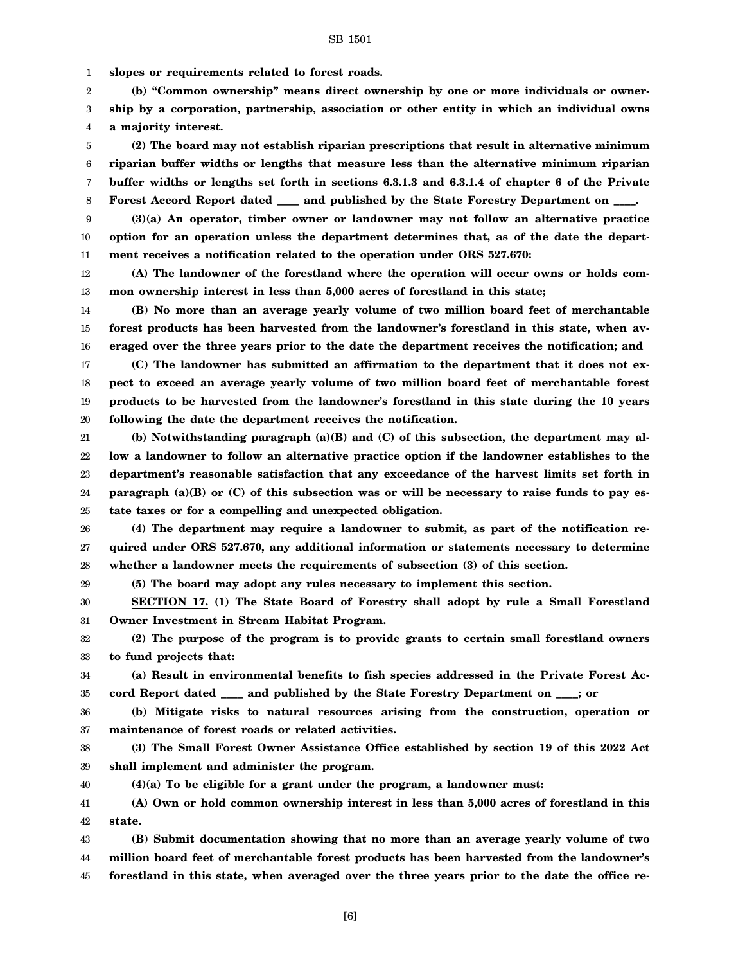1 **slopes or requirements related to forest roads.**

2 3 4 **(b) "Common ownership" means direct ownership by one or more individuals or ownership by a corporation, partnership, association or other entity in which an individual owns a majority interest.**

5 6 7 8 **(2) The board may not establish riparian prescriptions that result in alternative minimum riparian buffer widths or lengths that measure less than the alternative minimum riparian buffer widths or lengths set forth in sections 6.3.1.3 and 6.3.1.4 of chapter 6 of the Private Forest Accord Report dated \_\_\_\_ and published by the State Forestry Department on \_\_\_\_.**

9 10 11 **(3)(a) An operator, timber owner or landowner may not follow an alternative practice option for an operation unless the department determines that, as of the date the department receives a notification related to the operation under ORS 527.670:**

12 13 **(A) The landowner of the forestland where the operation will occur owns or holds common ownership interest in less than 5,000 acres of forestland in this state;**

14 15 16 **(B) No more than an average yearly volume of two million board feet of merchantable forest products has been harvested from the landowner's forestland in this state, when averaged over the three years prior to the date the department receives the notification; and**

17 18 19 20 **(C) The landowner has submitted an affirmation to the department that it does not expect to exceed an average yearly volume of two million board feet of merchantable forest products to be harvested from the landowner's forestland in this state during the 10 years following the date the department receives the notification.**

21 22 23 24 25 **(b) Notwithstanding paragraph (a)(B) and (C) of this subsection, the department may allow a landowner to follow an alternative practice option if the landowner establishes to the department's reasonable satisfaction that any exceedance of the harvest limits set forth in paragraph (a)(B) or (C) of this subsection was or will be necessary to raise funds to pay estate taxes or for a compelling and unexpected obligation.**

26 27 28 **(4) The department may require a landowner to submit, as part of the notification required under ORS 527.670, any additional information or statements necessary to determine whether a landowner meets the requirements of subsection (3) of this section.**

29

**(5) The board may adopt any rules necessary to implement this section.**

30 31 **SECTION 17. (1) The State Board of Forestry shall adopt by rule a Small Forestland Owner Investment in Stream Habitat Program.**

32 33 **(2) The purpose of the program is to provide grants to certain small forestland owners to fund projects that:**

34 35 **(a) Result in environmental benefits to fish species addressed in the Private Forest Accord Report dated \_\_\_\_ and published by the State Forestry Department on \_\_\_\_; or**

36 37 **(b) Mitigate risks to natural resources arising from the construction, operation or maintenance of forest roads or related activities.**

38 39 **(3) The Small Forest Owner Assistance Office established by section 19 of this 2022 Act shall implement and administer the program.**

40

**(4)(a) To be eligible for a grant under the program, a landowner must:**

41 42 **(A) Own or hold common ownership interest in less than 5,000 acres of forestland in this state.**

43 44 45 **(B) Submit documentation showing that no more than an average yearly volume of two million board feet of merchantable forest products has been harvested from the landowner's forestland in this state, when averaged over the three years prior to the date the office re-**

[6]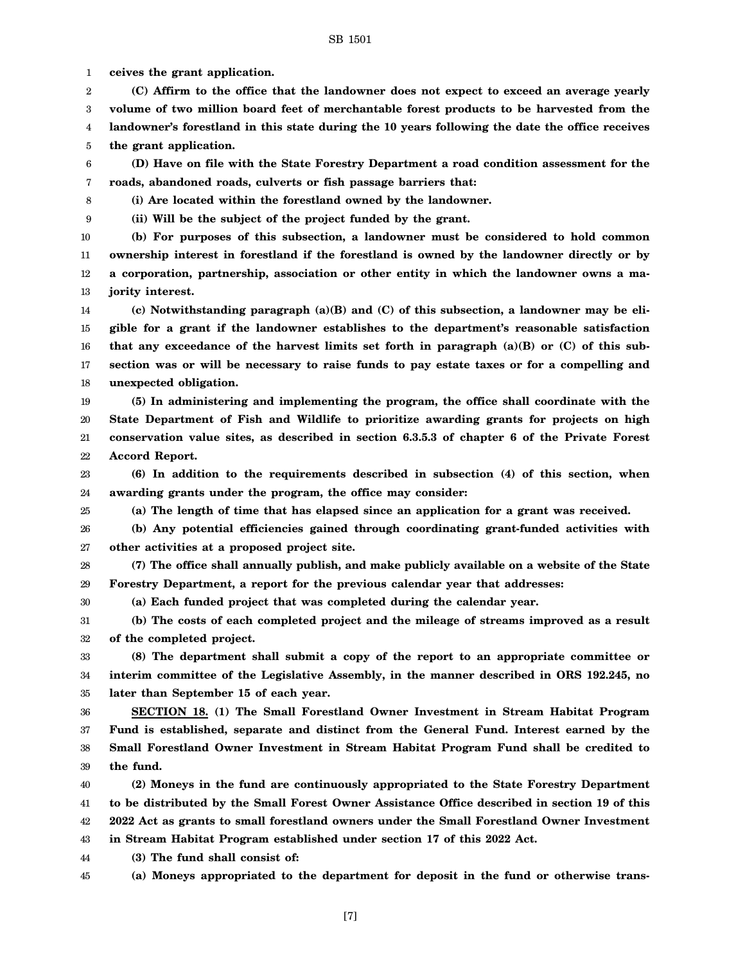1 **ceives the grant application.**

2 3 4 5 **(C) Affirm to the office that the landowner does not expect to exceed an average yearly volume of two million board feet of merchantable forest products to be harvested from the landowner's forestland in this state during the 10 years following the date the office receives the grant application.**

6 7 **(D) Have on file with the State Forestry Department a road condition assessment for the roads, abandoned roads, culverts or fish passage barriers that:**

**(i) Are located within the forestland owned by the landowner.**

9 **(ii) Will be the subject of the project funded by the grant.**

10 11 12 13 **(b) For purposes of this subsection, a landowner must be considered to hold common ownership interest in forestland if the forestland is owned by the landowner directly or by a corporation, partnership, association or other entity in which the landowner owns a majority interest.**

14 15 16 17 18 **(c) Notwithstanding paragraph (a)(B) and (C) of this subsection, a landowner may be eligible for a grant if the landowner establishes to the department's reasonable satisfaction that any exceedance of the harvest limits set forth in paragraph (a)(B) or (C) of this subsection was or will be necessary to raise funds to pay estate taxes or for a compelling and unexpected obligation.**

19 20 21 22 **(5) In administering and implementing the program, the office shall coordinate with the State Department of Fish and Wildlife to prioritize awarding grants for projects on high conservation value sites, as described in section 6.3.5.3 of chapter 6 of the Private Forest Accord Report.**

23 24 **(6) In addition to the requirements described in subsection (4) of this section, when awarding grants under the program, the office may consider:**

**(a) The length of time that has elapsed since an application for a grant was received.**

26 27 **(b) Any potential efficiencies gained through coordinating grant-funded activities with other activities at a proposed project site.**

28 29 **(7) The office shall annually publish, and make publicly available on a website of the State Forestry Department, a report for the previous calendar year that addresses:**

**(a) Each funded project that was completed during the calendar year.**

31 32 **(b) The costs of each completed project and the mileage of streams improved as a result of the completed project.**

33 34 35 **(8) The department shall submit a copy of the report to an appropriate committee or interim committee of the Legislative Assembly, in the manner described in ORS 192.245, no later than September 15 of each year.**

36 37 38 39 **SECTION 18. (1) The Small Forestland Owner Investment in Stream Habitat Program Fund is established, separate and distinct from the General Fund. Interest earned by the Small Forestland Owner Investment in Stream Habitat Program Fund shall be credited to the fund.**

40 41 42 43 **(2) Moneys in the fund are continuously appropriated to the State Forestry Department to be distributed by the Small Forest Owner Assistance Office described in section 19 of this 2022 Act as grants to small forestland owners under the Small Forestland Owner Investment in Stream Habitat Program established under section 17 of this 2022 Act.**

44 **(3) The fund shall consist of:**

45 **(a) Moneys appropriated to the department for deposit in the fund or otherwise trans-**

8

25

30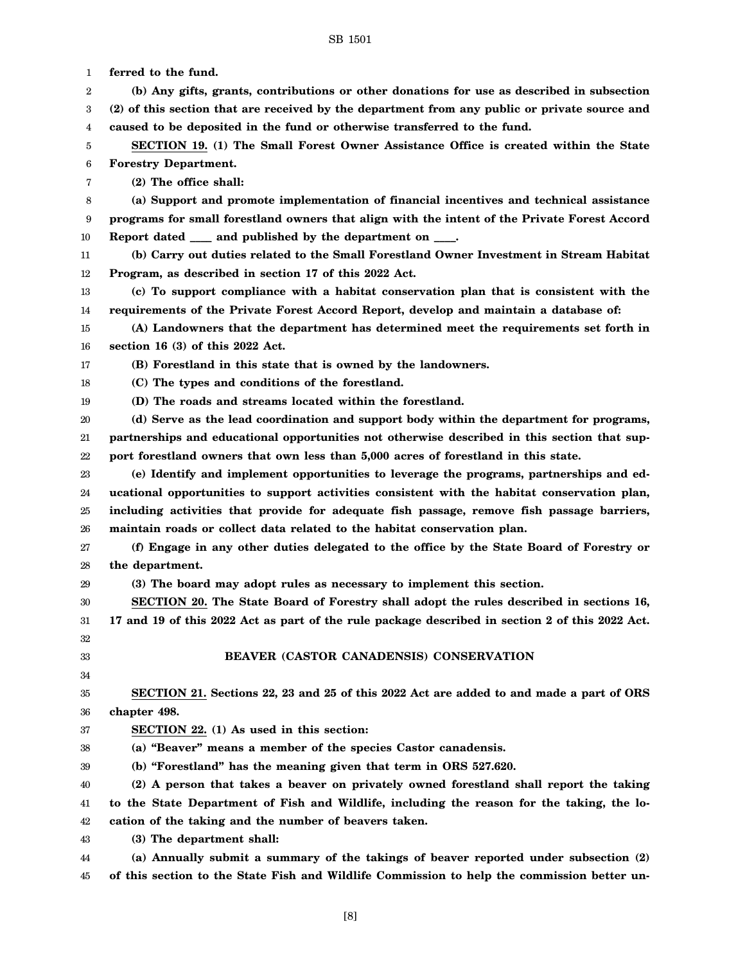1 2 3 4 5 6 7 8 9 10 11 12 13 14 15 16 17 18 19 20 21 22 23 24 25 26 27 28 29 30 31 32 33 34 35 36 37 38 39 40 41 42 43 44 **ferred to the fund. (b) Any gifts, grants, contributions or other donations for use as described in subsection (2) of this section that are received by the department from any public or private source and caused to be deposited in the fund or otherwise transferred to the fund. SECTION 19. (1) The Small Forest Owner Assistance Office is created within the State Forestry Department. (2) The office shall: (a) Support and promote implementation of financial incentives and technical assistance programs for small forestland owners that align with the intent of the Private Forest Accord Report dated \_\_\_\_ and published by the department on \_\_\_\_. (b) Carry out duties related to the Small Forestland Owner Investment in Stream Habitat Program, as described in section 17 of this 2022 Act. (c) To support compliance with a habitat conservation plan that is consistent with the requirements of the Private Forest Accord Report, develop and maintain a database of: (A) Landowners that the department has determined meet the requirements set forth in section 16 (3) of this 2022 Act. (B) Forestland in this state that is owned by the landowners. (C) The types and conditions of the forestland. (D) The roads and streams located within the forestland. (d) Serve as the lead coordination and support body within the department for programs, partnerships and educational opportunities not otherwise described in this section that support forestland owners that own less than 5,000 acres of forestland in this state. (e) Identify and implement opportunities to leverage the programs, partnerships and educational opportunities to support activities consistent with the habitat conservation plan, including activities that provide for adequate fish passage, remove fish passage barriers, maintain roads or collect data related to the habitat conservation plan. (f) Engage in any other duties delegated to the office by the State Board of Forestry or the department. (3) The board may adopt rules as necessary to implement this section. SECTION 20. The State Board of Forestry shall adopt the rules described in sections 16, 17 and 19 of this 2022 Act as part of the rule package described in section 2 of this 2022 Act. BEAVER (CASTOR CANADENSIS) CONSERVATION SECTION 21. Sections 22, 23 and 25 of this 2022 Act are added to and made a part of ORS chapter 498. SECTION 22. (1) As used in this section: (a) "Beaver" means a member of the species Castor canadensis. (b) "Forestland" has the meaning given that term in ORS 527.620. (2) A person that takes a beaver on privately owned forestland shall report the taking to the State Department of Fish and Wildlife, including the reason for the taking, the location of the taking and the number of beavers taken. (3) The department shall: (a) Annually submit a summary of the takings of beaver reported under subsection (2)**

[8]

**of this section to the State Fish and Wildlife Commission to help the commission better un-**

45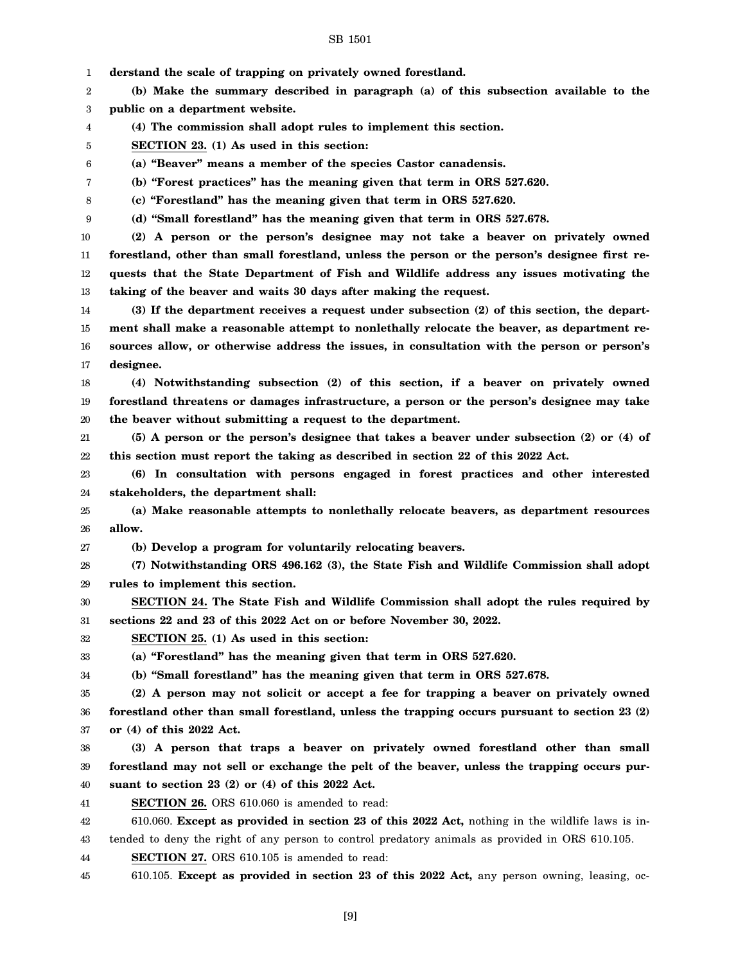1 2 3 4 5 6 7 8 9 10 11 12 13 14 15 16 17 18 19 20 21 22 23 24 25 26 27 28 29 30 31 32 33 34 35 36 37 38 39 40 41 42 43 44 45 **derstand the scale of trapping on privately owned forestland. (b) Make the summary described in paragraph (a) of this subsection available to the public on a department website. (4) The commission shall adopt rules to implement this section. SECTION 23. (1) As used in this section: (a) "Beaver" means a member of the species Castor canadensis. (b) "Forest practices" has the meaning given that term in ORS 527.620. (c) "Forestland" has the meaning given that term in ORS 527.620. (d) "Small forestland" has the meaning given that term in ORS 527.678. (2) A person or the person's designee may not take a beaver on privately owned forestland, other than small forestland, unless the person or the person's designee first requests that the State Department of Fish and Wildlife address any issues motivating the taking of the beaver and waits 30 days after making the request. (3) If the department receives a request under subsection (2) of this section, the department shall make a reasonable attempt to nonlethally relocate the beaver, as department resources allow, or otherwise address the issues, in consultation with the person or person's designee. (4) Notwithstanding subsection (2) of this section, if a beaver on privately owned forestland threatens or damages infrastructure, a person or the person's designee may take the beaver without submitting a request to the department. (5) A person or the person's designee that takes a beaver under subsection (2) or (4) of this section must report the taking as described in section 22 of this 2022 Act. (6) In consultation with persons engaged in forest practices and other interested stakeholders, the department shall: (a) Make reasonable attempts to nonlethally relocate beavers, as department resources allow. (b) Develop a program for voluntarily relocating beavers. (7) Notwithstanding ORS 496.162 (3), the State Fish and Wildlife Commission shall adopt rules to implement this section. SECTION 24. The State Fish and Wildlife Commission shall adopt the rules required by sections 22 and 23 of this 2022 Act on or before November 30, 2022. SECTION 25. (1) As used in this section: (a) "Forestland" has the meaning given that term in ORS 527.620. (b) "Small forestland" has the meaning given that term in ORS 527.678. (2) A person may not solicit or accept a fee for trapping a beaver on privately owned forestland other than small forestland, unless the trapping occurs pursuant to section 23 (2) or (4) of this 2022 Act. (3) A person that traps a beaver on privately owned forestland other than small forestland may not sell or exchange the pelt of the beaver, unless the trapping occurs pursuant to section 23 (2) or (4) of this 2022 Act. SECTION 26.** ORS 610.060 is amended to read: 610.060. **Except as provided in section 23 of this 2022 Act,** nothing in the wildlife laws is intended to deny the right of any person to control predatory animals as provided in ORS 610.105. **SECTION 27.** ORS 610.105 is amended to read: 610.105. **Except as provided in section 23 of this 2022 Act,** any person owning, leasing, oc-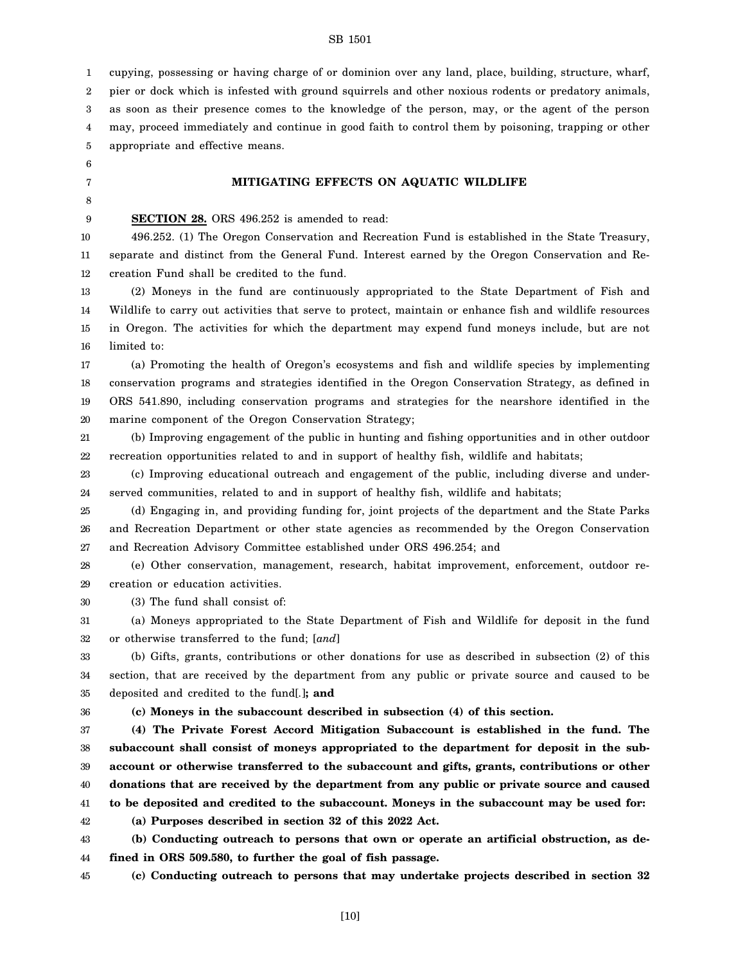1 2 3 4 5 cupying, possessing or having charge of or dominion over any land, place, building, structure, wharf, pier or dock which is infested with ground squirrels and other noxious rodents or predatory animals, as soon as their presence comes to the knowledge of the person, may, or the agent of the person may, proceed immediately and continue in good faith to control them by poisoning, trapping or other appropriate and effective means.

#### **MITIGATING EFFECTS ON AQUATIC WILDLIFE**

**SECTION 28.** ORS 496.252 is amended to read:

10 11 12 496.252. (1) The Oregon Conservation and Recreation Fund is established in the State Treasury, separate and distinct from the General Fund. Interest earned by the Oregon Conservation and Recreation Fund shall be credited to the fund.

13 14 15 16 (2) Moneys in the fund are continuously appropriated to the State Department of Fish and Wildlife to carry out activities that serve to protect, maintain or enhance fish and wildlife resources in Oregon. The activities for which the department may expend fund moneys include, but are not limited to:

17 18 19 20 (a) Promoting the health of Oregon's ecosystems and fish and wildlife species by implementing conservation programs and strategies identified in the Oregon Conservation Strategy, as defined in ORS 541.890, including conservation programs and strategies for the nearshore identified in the marine component of the Oregon Conservation Strategy;

21 22 (b) Improving engagement of the public in hunting and fishing opportunities and in other outdoor recreation opportunities related to and in support of healthy fish, wildlife and habitats;

23 24 (c) Improving educational outreach and engagement of the public, including diverse and underserved communities, related to and in support of healthy fish, wildlife and habitats;

25 26 27 (d) Engaging in, and providing funding for, joint projects of the department and the State Parks and Recreation Department or other state agencies as recommended by the Oregon Conservation and Recreation Advisory Committee established under ORS 496.254; and

28 29 (e) Other conservation, management, research, habitat improvement, enforcement, outdoor recreation or education activities.

30 (3) The fund shall consist of:

31 32 (a) Moneys appropriated to the State Department of Fish and Wildlife for deposit in the fund or otherwise transferred to the fund; [*and*]

33 34 35 (b) Gifts, grants, contributions or other donations for use as described in subsection (2) of this section, that are received by the department from any public or private source and caused to be deposited and credited to the fund[*.*]**; and**

36

**(c) Moneys in the subaccount described in subsection (4) of this section.**

37 38 39 40 41 **(4) The Private Forest Accord Mitigation Subaccount is established in the fund. The subaccount shall consist of moneys appropriated to the department for deposit in the subaccount or otherwise transferred to the subaccount and gifts, grants, contributions or other donations that are received by the department from any public or private source and caused to be deposited and credited to the subaccount. Moneys in the subaccount may be used for:**

42 **(a) Purposes described in section 32 of this 2022 Act.**

43 44 **(b) Conducting outreach to persons that own or operate an artificial obstruction, as defined in ORS 509.580, to further the goal of fish passage.**

45 **(c) Conducting outreach to persons that may undertake projects described in section 32**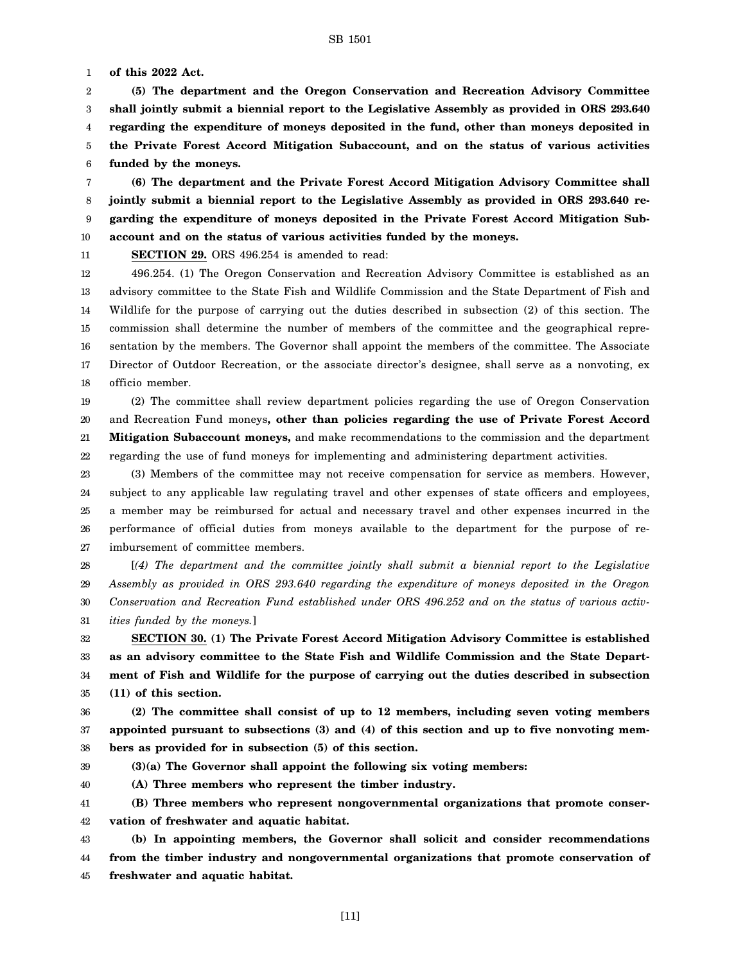1 **of this 2022 Act.**

2 3 4 5 6 **(5) The department and the Oregon Conservation and Recreation Advisory Committee shall jointly submit a biennial report to the Legislative Assembly as provided in ORS 293.640 regarding the expenditure of moneys deposited in the fund, other than moneys deposited in the Private Forest Accord Mitigation Subaccount, and on the status of various activities funded by the moneys.**

7 8 9 10 **(6) The department and the Private Forest Accord Mitigation Advisory Committee shall jointly submit a biennial report to the Legislative Assembly as provided in ORS 293.640 regarding the expenditure of moneys deposited in the Private Forest Accord Mitigation Subaccount and on the status of various activities funded by the moneys.**

11

**SECTION 29.** ORS 496.254 is amended to read:

12 13 14 15 16 17 18 496.254. (1) The Oregon Conservation and Recreation Advisory Committee is established as an advisory committee to the State Fish and Wildlife Commission and the State Department of Fish and Wildlife for the purpose of carrying out the duties described in subsection (2) of this section. The commission shall determine the number of members of the committee and the geographical representation by the members. The Governor shall appoint the members of the committee. The Associate Director of Outdoor Recreation, or the associate director's designee, shall serve as a nonvoting, ex officio member.

19 20 21 22 (2) The committee shall review department policies regarding the use of Oregon Conservation and Recreation Fund moneys**, other than policies regarding the use of Private Forest Accord Mitigation Subaccount moneys,** and make recommendations to the commission and the department regarding the use of fund moneys for implementing and administering department activities.

23 24 25 26 27 (3) Members of the committee may not receive compensation for service as members. However, subject to any applicable law regulating travel and other expenses of state officers and employees, a member may be reimbursed for actual and necessary travel and other expenses incurred in the performance of official duties from moneys available to the department for the purpose of reimbursement of committee members.

28 29 30 31 [*(4) The department and the committee jointly shall submit a biennial report to the Legislative Assembly as provided in ORS 293.640 regarding the expenditure of moneys deposited in the Oregon Conservation and Recreation Fund established under ORS 496.252 and on the status of various activities funded by the moneys.*]

32 33 34 35 **SECTION 30. (1) The Private Forest Accord Mitigation Advisory Committee is established as an advisory committee to the State Fish and Wildlife Commission and the State Department of Fish and Wildlife for the purpose of carrying out the duties described in subsection (11) of this section.**

36 37 38 **(2) The committee shall consist of up to 12 members, including seven voting members appointed pursuant to subsections (3) and (4) of this section and up to five nonvoting members as provided for in subsection (5) of this section.**

**(3)(a) The Governor shall appoint the following six voting members:**

39 40

**(A) Three members who represent the timber industry.**

41 42 **(B) Three members who represent nongovernmental organizations that promote conservation of freshwater and aquatic habitat.**

43 44 45 **(b) In appointing members, the Governor shall solicit and consider recommendations from the timber industry and nongovernmental organizations that promote conservation of freshwater and aquatic habitat.**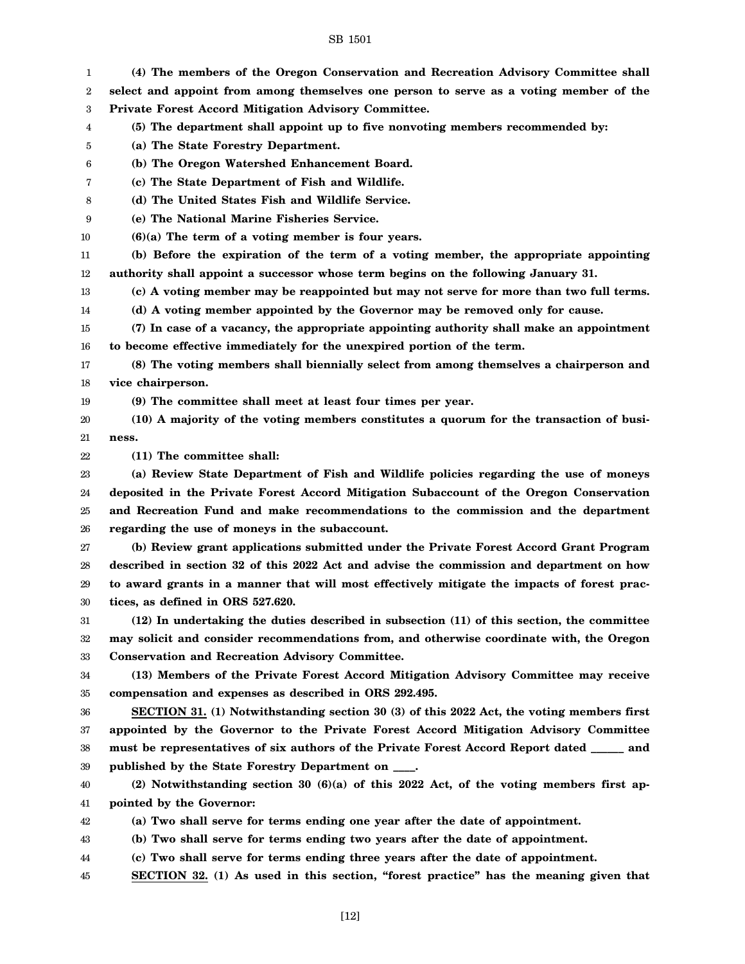1 2 3 4 5 6 7 8 9 10 11 12 13 14 15 16 17 18 19 20 21 22 23 24 25 26 27 28 29 30 31 32 33 34 35 36 37 38 39 40 41 42 43 44 45 **(4) The members of the Oregon Conservation and Recreation Advisory Committee shall select and appoint from among themselves one person to serve as a voting member of the Private Forest Accord Mitigation Advisory Committee. (5) The department shall appoint up to five nonvoting members recommended by: (a) The State Forestry Department. (b) The Oregon Watershed Enhancement Board. (c) The State Department of Fish and Wildlife. (d) The United States Fish and Wildlife Service. (e) The National Marine Fisheries Service. (6)(a) The term of a voting member is four years. (b) Before the expiration of the term of a voting member, the appropriate appointing authority shall appoint a successor whose term begins on the following January 31. (c) A voting member may be reappointed but may not serve for more than two full terms. (d) A voting member appointed by the Governor may be removed only for cause. (7) In case of a vacancy, the appropriate appointing authority shall make an appointment to become effective immediately for the unexpired portion of the term. (8) The voting members shall biennially select from among themselves a chairperson and vice chairperson. (9) The committee shall meet at least four times per year. (10) A majority of the voting members constitutes a quorum for the transaction of business. (11) The committee shall: (a) Review State Department of Fish and Wildlife policies regarding the use of moneys deposited in the Private Forest Accord Mitigation Subaccount of the Oregon Conservation and Recreation Fund and make recommendations to the commission and the department regarding the use of moneys in the subaccount. (b) Review grant applications submitted under the Private Forest Accord Grant Program described in section 32 of this 2022 Act and advise the commission and department on how to award grants in a manner that will most effectively mitigate the impacts of forest practices, as defined in ORS 527.620. (12) In undertaking the duties described in subsection (11) of this section, the committee may solicit and consider recommendations from, and otherwise coordinate with, the Oregon Conservation and Recreation Advisory Committee. (13) Members of the Private Forest Accord Mitigation Advisory Committee may receive compensation and expenses as described in ORS 292.495. SECTION 31. (1) Notwithstanding section 30 (3) of this 2022 Act, the voting members first appointed by the Governor to the Private Forest Accord Mitigation Advisory Committee must be representatives of six authors of the Private Forest Accord Report dated \_\_\_\_\_\_ and published by the State Forestry Department on \_\_\_\_. (2) Notwithstanding section 30 (6)(a) of this 2022 Act, of the voting members first appointed by the Governor: (a) Two shall serve for terms ending one year after the date of appointment. (b) Two shall serve for terms ending two years after the date of appointment. (c) Two shall serve for terms ending three years after the date of appointment. SECTION 32. (1) As used in this section, "forest practice" has the meaning given that**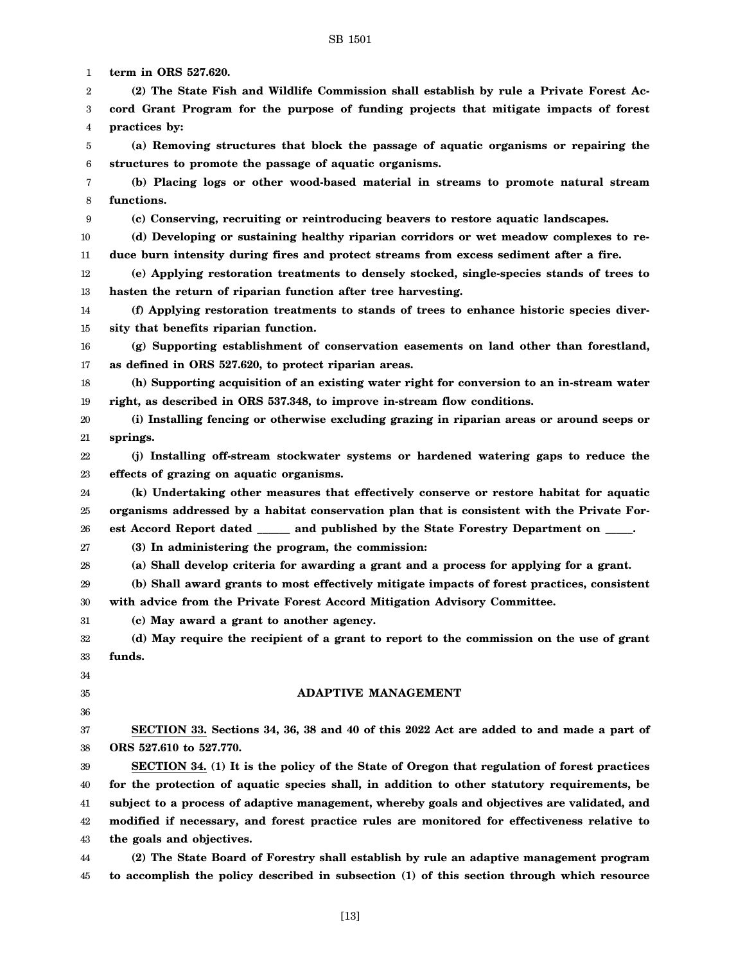1 2 3 4 5 6 7 8 9 10 11 12 13 14 15 16 17 18 19 20 21 22 23 24 25 26 27 28 29 30 31 32 33 34 35 36 37 38 39 40 41 42 43 44 45 **term in ORS 527.620. (2) The State Fish and Wildlife Commission shall establish by rule a Private Forest Accord Grant Program for the purpose of funding projects that mitigate impacts of forest practices by: (a) Removing structures that block the passage of aquatic organisms or repairing the structures to promote the passage of aquatic organisms. (b) Placing logs or other wood-based material in streams to promote natural stream functions. (c) Conserving, recruiting or reintroducing beavers to restore aquatic landscapes. (d) Developing or sustaining healthy riparian corridors or wet meadow complexes to reduce burn intensity during fires and protect streams from excess sediment after a fire. (e) Applying restoration treatments to densely stocked, single-species stands of trees to hasten the return of riparian function after tree harvesting. (f) Applying restoration treatments to stands of trees to enhance historic species diversity that benefits riparian function. (g) Supporting establishment of conservation easements on land other than forestland, as defined in ORS 527.620, to protect riparian areas. (h) Supporting acquisition of an existing water right for conversion to an in-stream water right, as described in ORS 537.348, to improve in-stream flow conditions. (i) Installing fencing or otherwise excluding grazing in riparian areas or around seeps or springs. (j) Installing off-stream stockwater systems or hardened watering gaps to reduce the effects of grazing on aquatic organisms. (k) Undertaking other measures that effectively conserve or restore habitat for aquatic organisms addressed by a habitat conservation plan that is consistent with the Private Forest Accord Report dated \_\_\_\_\_\_ and published by the State Forestry Department on \_\_\_\_\_. (3) In administering the program, the commission: (a) Shall develop criteria for awarding a grant and a process for applying for a grant. (b) Shall award grants to most effectively mitigate impacts of forest practices, consistent with advice from the Private Forest Accord Mitigation Advisory Committee. (c) May award a grant to another agency. (d) May require the recipient of a grant to report to the commission on the use of grant funds. ADAPTIVE MANAGEMENT SECTION 33. Sections 34, 36, 38 and 40 of this 2022 Act are added to and made a part of ORS 527.610 to 527.770. SECTION 34. (1) It is the policy of the State of Oregon that regulation of forest practices for the protection of aquatic species shall, in addition to other statutory requirements, be subject to a process of adaptive management, whereby goals and objectives are validated, and modified if necessary, and forest practice rules are monitored for effectiveness relative to the goals and objectives. (2) The State Board of Forestry shall establish by rule an adaptive management program to accomplish the policy described in subsection (1) of this section through which resource**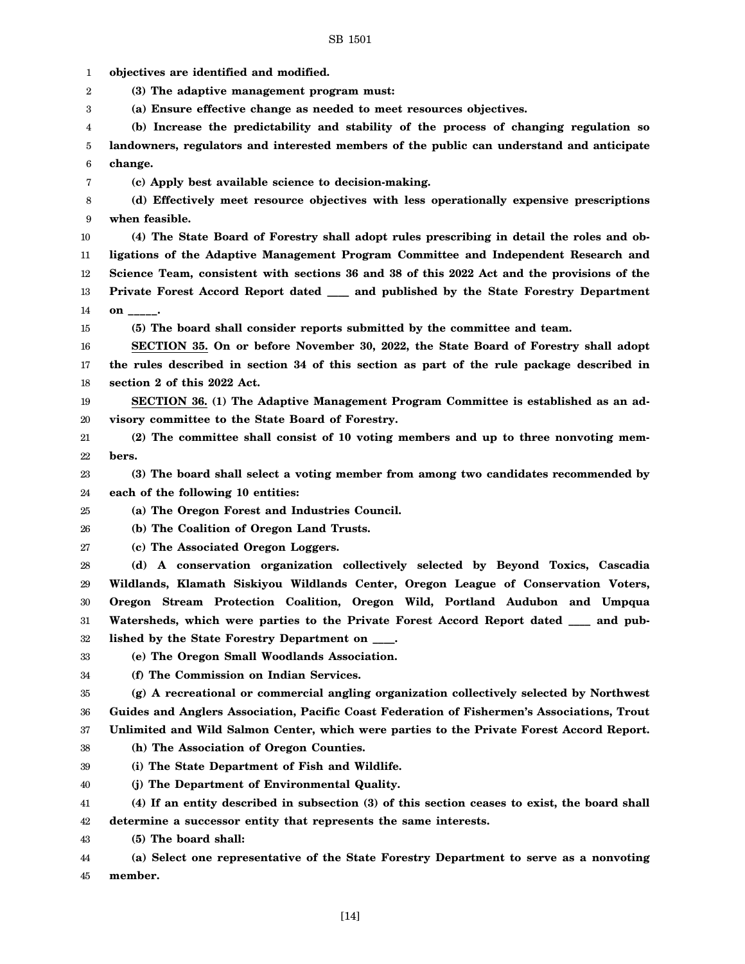1 2 3 4 5 6 7 8 9 10 11 12 13 14 15 16 17 18 19 20 21 22 23 24 25 26 27 28 29 30 31 32 33 34 35 36 37 38 39 40 41 42 43 44 45 **objectives are identified and modified. (3) The adaptive management program must: (a) Ensure effective change as needed to meet resources objectives. (b) Increase the predictability and stability of the process of changing regulation so landowners, regulators and interested members of the public can understand and anticipate change. (c) Apply best available science to decision-making. (d) Effectively meet resource objectives with less operationally expensive prescriptions when feasible. (4) The State Board of Forestry shall adopt rules prescribing in detail the roles and obligations of the Adaptive Management Program Committee and Independent Research and Science Team, consistent with sections 36 and 38 of this 2022 Act and the provisions of the Private Forest Accord Report dated \_\_\_\_ and published by the State Forestry Department on \_\_\_\_\_. (5) The board shall consider reports submitted by the committee and team. SECTION 35. On or before November 30, 2022, the State Board of Forestry shall adopt the rules described in section 34 of this section as part of the rule package described in section 2 of this 2022 Act. SECTION 36. (1) The Adaptive Management Program Committee is established as an advisory committee to the State Board of Forestry. (2) The committee shall consist of 10 voting members and up to three nonvoting members. (3) The board shall select a voting member from among two candidates recommended by each of the following 10 entities: (a) The Oregon Forest and Industries Council. (b) The Coalition of Oregon Land Trusts. (c) The Associated Oregon Loggers. (d) A conservation organization collectively selected by Beyond Toxics, Cascadia Wildlands, Klamath Siskiyou Wildlands Center, Oregon League of Conservation Voters, Oregon Stream Protection Coalition, Oregon Wild, Portland Audubon and Umpqua Watersheds, which were parties to the Private Forest Accord Report dated \_\_\_\_ and published by the State Forestry Department on \_\_\_\_. (e) The Oregon Small Woodlands Association. (f) The Commission on Indian Services. (g) A recreational or commercial angling organization collectively selected by Northwest Guides and Anglers Association, Pacific Coast Federation of Fishermen's Associations, Trout Unlimited and Wild Salmon Center, which were parties to the Private Forest Accord Report. (h) The Association of Oregon Counties. (i) The State Department of Fish and Wildlife. (j) The Department of Environmental Quality. (4) If an entity described in subsection (3) of this section ceases to exist, the board shall determine a successor entity that represents the same interests. (5) The board shall: (a) Select one representative of the State Forestry Department to serve as a nonvoting member.**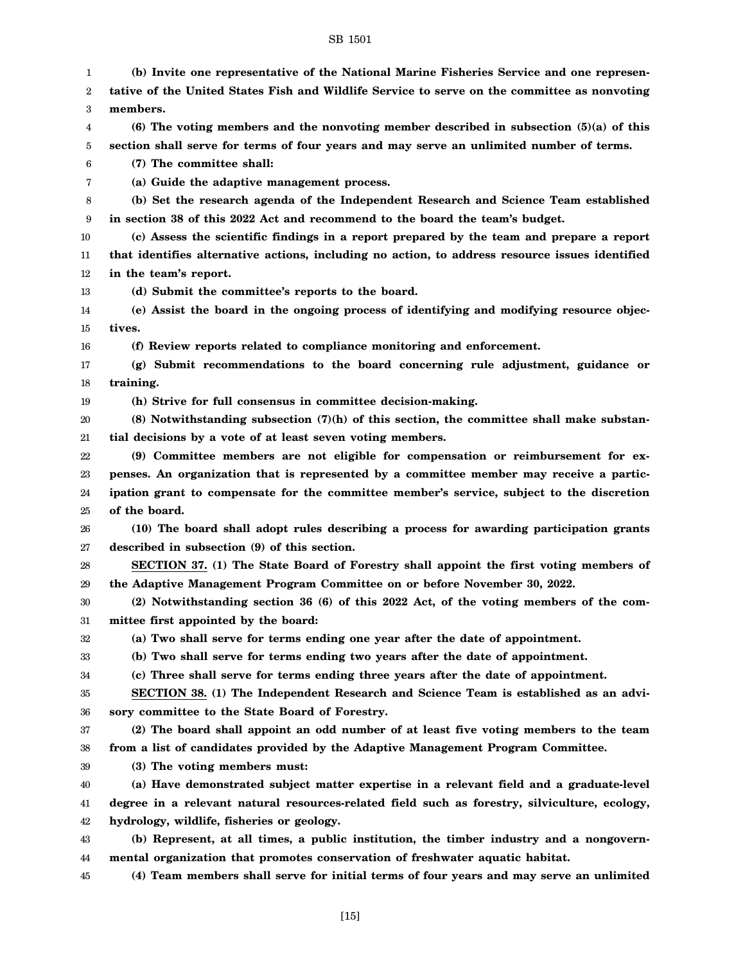| 1  | (b) Invite one representative of the National Marine Fisheries Service and one represen-        |
|----|-------------------------------------------------------------------------------------------------|
| 2  | tative of the United States Fish and Wildlife Service to serve on the committee as nonvoting    |
| 3  | members.                                                                                        |
| 4  | $(6)$ The voting members and the nonvoting member described in subsection $(5)(a)$ of this      |
| 5  | section shall serve for terms of four years and may serve an unlimited number of terms.         |
| 6  | (7) The committee shall:                                                                        |
| 7  | (a) Guide the adaptive management process.                                                      |
| 8  | (b) Set the research agenda of the Independent Research and Science Team established            |
| 9  | in section 38 of this 2022 Act and recommend to the board the team's budget.                    |
| 10 | (c) Assess the scientific findings in a report prepared by the team and prepare a report        |
| 11 | that identifies alternative actions, including no action, to address resource issues identified |
| 12 | in the team's report.                                                                           |
| 13 | (d) Submit the committee's reports to the board.                                                |
| 14 | (e) Assist the board in the ongoing process of identifying and modifying resource objec-        |
| 15 | tives.                                                                                          |
| 16 | (f) Review reports related to compliance monitoring and enforcement.                            |
| 17 | (g) Submit recommendations to the board concerning rule adjustment, guidance or                 |
| 18 | training.                                                                                       |
| 19 | (h) Strive for full consensus in committee decision-making.                                     |
| 20 | $(8)$ Notwithstanding subsection $(7)(h)$ of this section, the committee shall make substan-    |
| 21 | tial decisions by a vote of at least seven voting members.                                      |
| 22 | (9) Committee members are not eligible for compensation or reimbursement for ex-                |
| 23 | penses. An organization that is represented by a committee member may receive a partic-         |
| 24 | ipation grant to compensate for the committee member's service, subject to the discretion       |
| 25 | of the board.                                                                                   |
| 26 | (10) The board shall adopt rules describing a process for awarding participation grants         |
| 27 | described in subsection (9) of this section.                                                    |
| 28 | SECTION 37. (1) The State Board of Forestry shall appoint the first voting members of           |
| 29 | the Adaptive Management Program Committee on or before November 30, 2022.                       |
| 30 | (2) Notwithstanding section 36 (6) of this 2022 Act, of the voting members of the com-          |
| 31 | mittee first appointed by the board:                                                            |
| 32 | (a) Two shall serve for terms ending one year after the date of appointment.                    |
| 33 | (b) Two shall serve for terms ending two years after the date of appointment.                   |
| 34 | (c) Three shall serve for terms ending three years after the date of appointment.               |
| 35 | SECTION 38. (1) The Independent Research and Science Team is established as an advi-            |
| 36 | sory committee to the State Board of Forestry.                                                  |
| 37 | (2) The board shall appoint an odd number of at least five voting members to the team           |
| 38 | from a list of candidates provided by the Adaptive Management Program Committee.                |
| 39 | (3) The voting members must:                                                                    |
| 40 | (a) Have demonstrated subject matter expertise in a relevant field and a graduate-level         |
| 41 | degree in a relevant natural resources-related field such as forestry, silviculture, ecology,   |
| 42 | hydrology, wildlife, fisheries or geology.                                                      |
| 43 | (b) Represent, at all times, a public institution, the timber industry and a nongovern-         |
| 44 | mental organization that promotes conservation of freshwater aquatic habitat.                   |
| 45 | (4) Team members shall serve for initial terms of four years and may serve an unlimited         |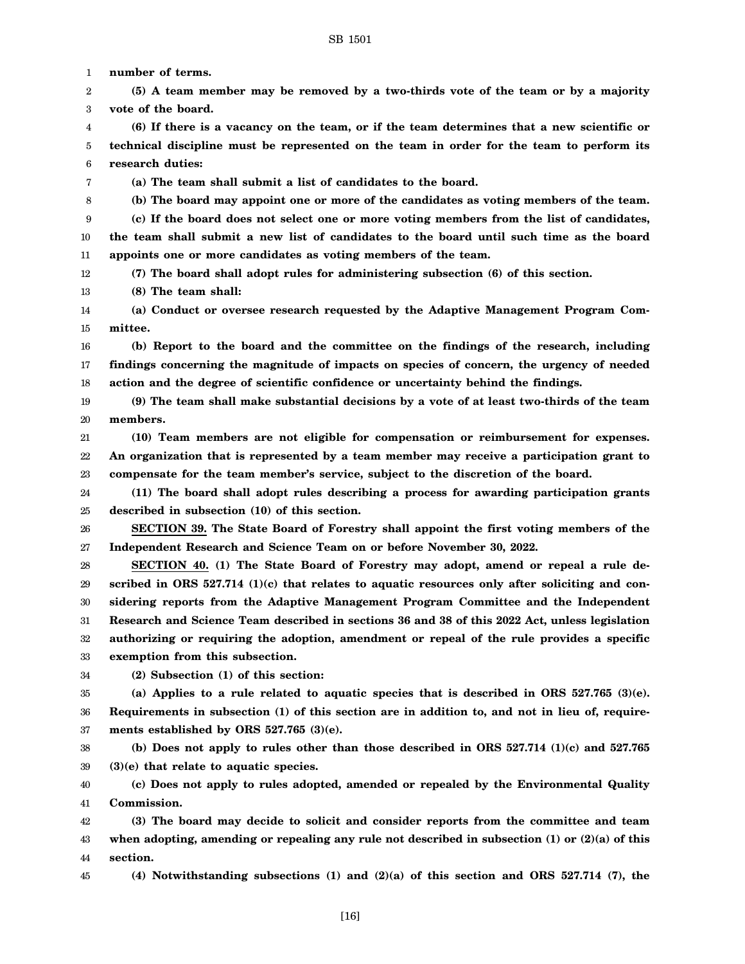1 2 3 4 5 6 7 8 9 10 11 12 13 14 15 16 17 18 19 20 21 22 23 24 25 26 27 28 29 30 31 32 33 34 35 36 37 38 39 40 41 42 43 44 45 **number of terms. (5) A team member may be removed by a two-thirds vote of the team or by a majority vote of the board. (6) If there is a vacancy on the team, or if the team determines that a new scientific or technical discipline must be represented on the team in order for the team to perform its research duties: (a) The team shall submit a list of candidates to the board. (b) The board may appoint one or more of the candidates as voting members of the team. (c) If the board does not select one or more voting members from the list of candidates, the team shall submit a new list of candidates to the board until such time as the board appoints one or more candidates as voting members of the team. (7) The board shall adopt rules for administering subsection (6) of this section. (8) The team shall: (a) Conduct or oversee research requested by the Adaptive Management Program Committee. (b) Report to the board and the committee on the findings of the research, including findings concerning the magnitude of impacts on species of concern, the urgency of needed action and the degree of scientific confidence or uncertainty behind the findings. (9) The team shall make substantial decisions by a vote of at least two-thirds of the team members. (10) Team members are not eligible for compensation or reimbursement for expenses. An organization that is represented by a team member may receive a participation grant to compensate for the team member's service, subject to the discretion of the board. (11) The board shall adopt rules describing a process for awarding participation grants described in subsection (10) of this section. SECTION 39. The State Board of Forestry shall appoint the first voting members of the Independent Research and Science Team on or before November 30, 2022. SECTION 40. (1) The State Board of Forestry may adopt, amend or repeal a rule described in ORS 527.714 (1)(c) that relates to aquatic resources only after soliciting and considering reports from the Adaptive Management Program Committee and the Independent Research and Science Team described in sections 36 and 38 of this 2022 Act, unless legislation authorizing or requiring the adoption, amendment or repeal of the rule provides a specific exemption from this subsection. (2) Subsection (1) of this section: (a) Applies to a rule related to aquatic species that is described in ORS 527.765 (3)(e). Requirements in subsection (1) of this section are in addition to, and not in lieu of, requirements established by ORS 527.765 (3)(e). (b) Does not apply to rules other than those described in ORS 527.714 (1)(c) and 527.765 (3)(e) that relate to aquatic species. (c) Does not apply to rules adopted, amended or repealed by the Environmental Quality Commission. (3) The board may decide to solicit and consider reports from the committee and team when adopting, amending or repealing any rule not described in subsection (1) or (2)(a) of this section. (4) Notwithstanding subsections (1) and (2)(a) of this section and ORS 527.714 (7), the**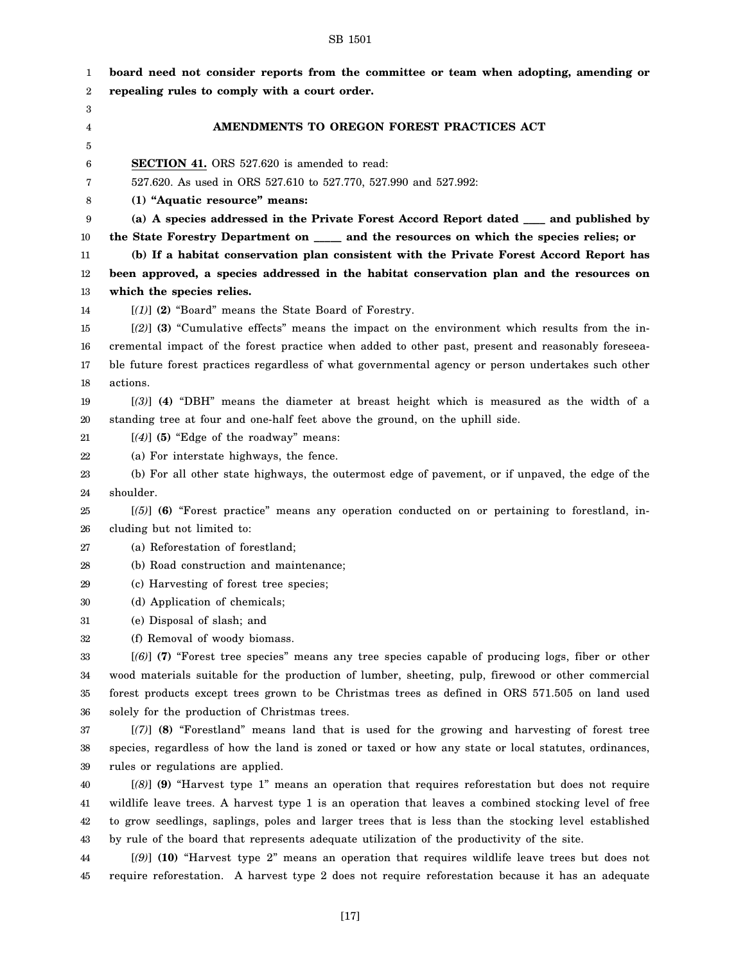| 1  | board need not consider reports from the committee or team when adopting, amending or                 |
|----|-------------------------------------------------------------------------------------------------------|
| 2  | repealing rules to comply with a court order.                                                         |
| 3  |                                                                                                       |
| 4  | AMENDMENTS TO OREGON FOREST PRACTICES ACT                                                             |
| 5  |                                                                                                       |
| 6  | <b>SECTION 41.</b> ORS 527.620 is amended to read:                                                    |
| 7  | 527.620. As used in ORS 527.610 to 527.770, 527.990 and 527.992:                                      |
| 8  | (1) "Aquatic resource" means:                                                                         |
| 9  | (a) A species addressed in the Private Forest Accord Report dated __ and published by                 |
| 10 | the State Forestry Department on _____ and the resources on which the species relies; or              |
| 11 | (b) If a habitat conservation plan consistent with the Private Forest Accord Report has               |
| 12 | been approved, a species addressed in the habitat conservation plan and the resources on              |
| 13 | which the species relies.                                                                             |
| 14 | $[(1)]$ (2) "Board" means the State Board of Forestry.                                                |
| 15 | $[2]$ (3) "Cumulative effects" means the impact on the environment which results from the in-         |
| 16 | cremental impact of the forest practice when added to other past, present and reasonably foreseea-    |
| 17 | ble future forest practices regardless of what governmental agency or person undertakes such other    |
| 18 | actions.                                                                                              |
| 19 | [(3)] (4) "DBH" means the diameter at breast height which is measured as the width of a               |
| 20 | standing tree at four and one-half feet above the ground, on the uphill side.                         |
| 21 | $[(4)]$ (5) "Edge of the roadway" means:                                                              |
| 22 | (a) For interstate highways, the fence.                                                               |
| 23 | (b) For all other state highways, the outermost edge of pavement, or if unpaved, the edge of the      |
| 24 | shoulder.                                                                                             |
| 25 | [(5)] (6) "Forest practice" means any operation conducted on or pertaining to forestland, in-         |
| 26 | cluding but not limited to:                                                                           |
| 27 | (a) Reforestation of forestland;                                                                      |
| 28 | (b) Road construction and maintenance;                                                                |
| 29 | (c) Harvesting of forest tree species;                                                                |
| 30 | (d) Application of chemicals;                                                                         |
| 31 | (e) Disposal of slash; and                                                                            |
| 32 | (f) Removal of woody biomass.                                                                         |
| 33 | $[(6)]$ (7) "Forest tree species" means any tree species capable of producing logs, fiber or other    |
| 34 | wood materials suitable for the production of lumber, sheeting, pulp, firewood or other commercial    |
| 35 | forest products except trees grown to be Christmas trees as defined in ORS 571.505 on land used       |
| 36 | solely for the production of Christmas trees.                                                         |
| 37 | $[(7)]$ (8) "Forestland" means land that is used for the growing and harvesting of forest tree        |
| 38 | species, regardless of how the land is zoned or taxed or how any state or local statutes, ordinances, |
| 39 | rules or regulations are applied.                                                                     |
| 40 | [(8)] (9) "Harvest type 1" means an operation that requires reforestation but does not require        |
| 41 | wildlife leave trees. A harvest type 1 is an operation that leaves a combined stocking level of free  |
| 42 | to grow seedlings, saplings, poles and larger trees that is less than the stocking level established  |
| 43 | by rule of the board that represents adequate utilization of the productivity of the site.            |
| 44 | [(9)] (10) "Harvest type 2" means an operation that requires wildlife leave trees but does not        |

45 require reforestation. A harvest type 2 does not require reforestation because it has an adequate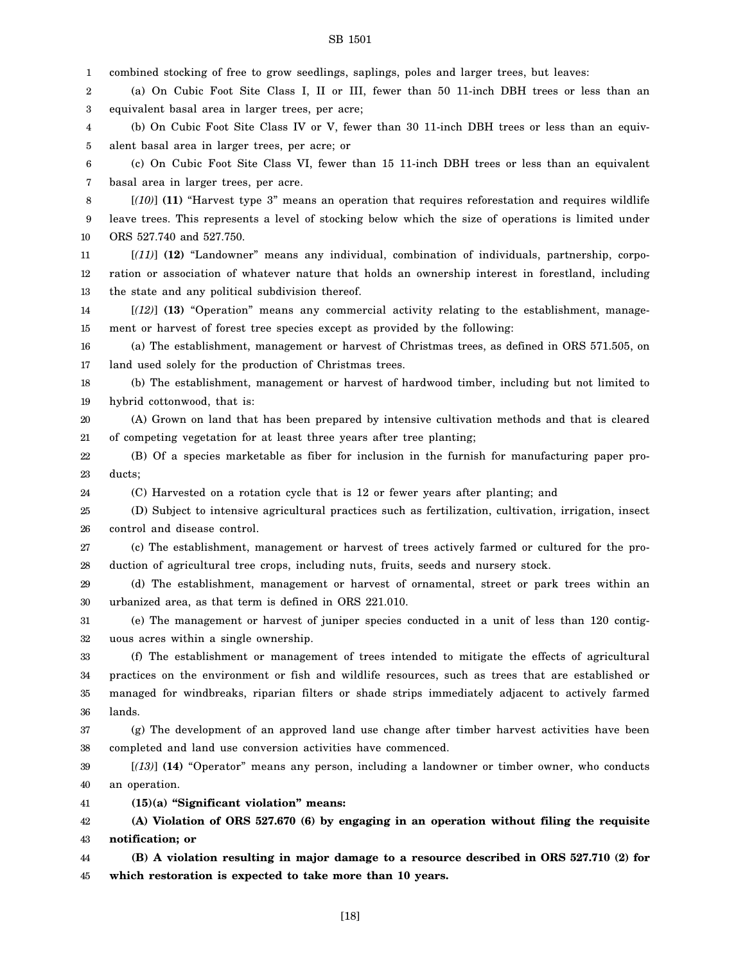1 2 3 4 5 6 7 8 9 10 11 12 13 14 15 16 17 18 19 20 21 22 23 24 25 26 27 28 29 30 31 32 33 34 35 36 37 38 39 40 41 42 43 44 45 combined stocking of free to grow seedlings, saplings, poles and larger trees, but leaves: (a) On Cubic Foot Site Class I, II or III, fewer than 50 11-inch DBH trees or less than an equivalent basal area in larger trees, per acre; (b) On Cubic Foot Site Class IV or V, fewer than 30 11-inch DBH trees or less than an equivalent basal area in larger trees, per acre; or (c) On Cubic Foot Site Class VI, fewer than 15 11-inch DBH trees or less than an equivalent basal area in larger trees, per acre. [*(10)*] **(11)** "Harvest type 3" means an operation that requires reforestation and requires wildlife leave trees. This represents a level of stocking below which the size of operations is limited under ORS 527.740 and 527.750. [*(11)*] **(12)** "Landowner" means any individual, combination of individuals, partnership, corporation or association of whatever nature that holds an ownership interest in forestland, including the state and any political subdivision thereof. [*(12)*] **(13)** "Operation" means any commercial activity relating to the establishment, management or harvest of forest tree species except as provided by the following: (a) The establishment, management or harvest of Christmas trees, as defined in ORS 571.505, on land used solely for the production of Christmas trees. (b) The establishment, management or harvest of hardwood timber, including but not limited to hybrid cottonwood, that is: (A) Grown on land that has been prepared by intensive cultivation methods and that is cleared of competing vegetation for at least three years after tree planting; (B) Of a species marketable as fiber for inclusion in the furnish for manufacturing paper products; (C) Harvested on a rotation cycle that is 12 or fewer years after planting; and (D) Subject to intensive agricultural practices such as fertilization, cultivation, irrigation, insect control and disease control. (c) The establishment, management or harvest of trees actively farmed or cultured for the production of agricultural tree crops, including nuts, fruits, seeds and nursery stock. (d) The establishment, management or harvest of ornamental, street or park trees within an urbanized area, as that term is defined in ORS 221.010. (e) The management or harvest of juniper species conducted in a unit of less than 120 contiguous acres within a single ownership. (f) The establishment or management of trees intended to mitigate the effects of agricultural practices on the environment or fish and wildlife resources, such as trees that are established or managed for windbreaks, riparian filters or shade strips immediately adjacent to actively farmed lands. (g) The development of an approved land use change after timber harvest activities have been completed and land use conversion activities have commenced. [*(13)*] **(14)** "Operator" means any person, including a landowner or timber owner, who conducts an operation. **(15)(a) "Significant violation" means: (A) Violation of ORS 527.670 (6) by engaging in an operation without filing the requisite notification; or (B) A violation resulting in major damage to a resource described in ORS 527.710 (2) for which restoration is expected to take more than 10 years.**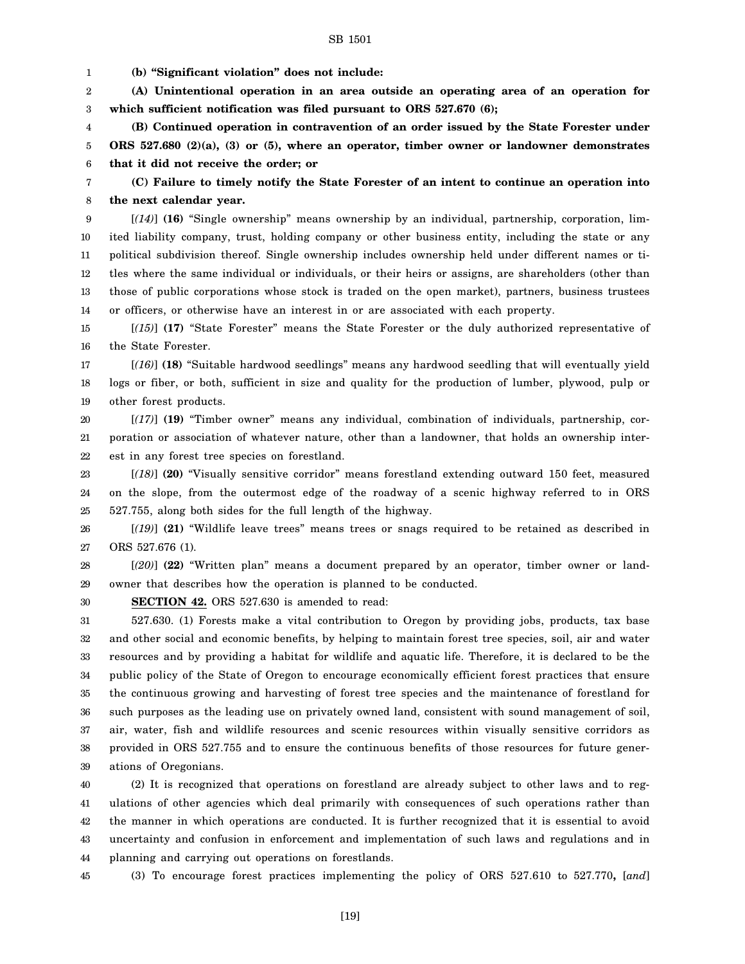1 **(b) "Significant violation" does not include:**

2 3 **(A) Unintentional operation in an area outside an operating area of an operation for which sufficient notification was filed pursuant to ORS 527.670 (6);**

4 5 6 **(B) Continued operation in contravention of an order issued by the State Forester under ORS 527.680 (2)(a), (3) or (5), where an operator, timber owner or landowner demonstrates that it did not receive the order; or**

7 8 **(C) Failure to timely notify the State Forester of an intent to continue an operation into the next calendar year.**

9 10 11 12 13 14 [*(14)*] **(16)** "Single ownership" means ownership by an individual, partnership, corporation, limited liability company, trust, holding company or other business entity, including the state or any political subdivision thereof. Single ownership includes ownership held under different names or titles where the same individual or individuals, or their heirs or assigns, are shareholders (other than those of public corporations whose stock is traded on the open market), partners, business trustees or officers, or otherwise have an interest in or are associated with each property.

15 16 [*(15)*] **(17)** "State Forester" means the State Forester or the duly authorized representative of the State Forester.

17 18 19 [*(16)*] **(18)** "Suitable hardwood seedlings" means any hardwood seedling that will eventually yield logs or fiber, or both, sufficient in size and quality for the production of lumber, plywood, pulp or other forest products.

20 21 22 [*(17)*] **(19)** "Timber owner" means any individual, combination of individuals, partnership, corporation or association of whatever nature, other than a landowner, that holds an ownership interest in any forest tree species on forestland.

23 24 25 [*(18)*] **(20)** "Visually sensitive corridor" means forestland extending outward 150 feet, measured on the slope, from the outermost edge of the roadway of a scenic highway referred to in ORS 527.755, along both sides for the full length of the highway.

26 27 [*(19)*] **(21)** "Wildlife leave trees" means trees or snags required to be retained as described in ORS 527.676 (1).

28 29 [*(20)*] **(22)** "Written plan" means a document prepared by an operator, timber owner or landowner that describes how the operation is planned to be conducted.

30 **SECTION 42.** ORS 527.630 is amended to read:

31 32 33 34 35 36 37 38 39 527.630. (1) Forests make a vital contribution to Oregon by providing jobs, products, tax base and other social and economic benefits, by helping to maintain forest tree species, soil, air and water resources and by providing a habitat for wildlife and aquatic life. Therefore, it is declared to be the public policy of the State of Oregon to encourage economically efficient forest practices that ensure the continuous growing and harvesting of forest tree species and the maintenance of forestland for such purposes as the leading use on privately owned land, consistent with sound management of soil, air, water, fish and wildlife resources and scenic resources within visually sensitive corridors as provided in ORS 527.755 and to ensure the continuous benefits of those resources for future generations of Oregonians.

40 41 42 43 44 (2) It is recognized that operations on forestland are already subject to other laws and to regulations of other agencies which deal primarily with consequences of such operations rather than the manner in which operations are conducted. It is further recognized that it is essential to avoid uncertainty and confusion in enforcement and implementation of such laws and regulations and in planning and carrying out operations on forestlands.

45 (3) To encourage forest practices implementing the policy of ORS 527.610 to 527.770**,** [*and*]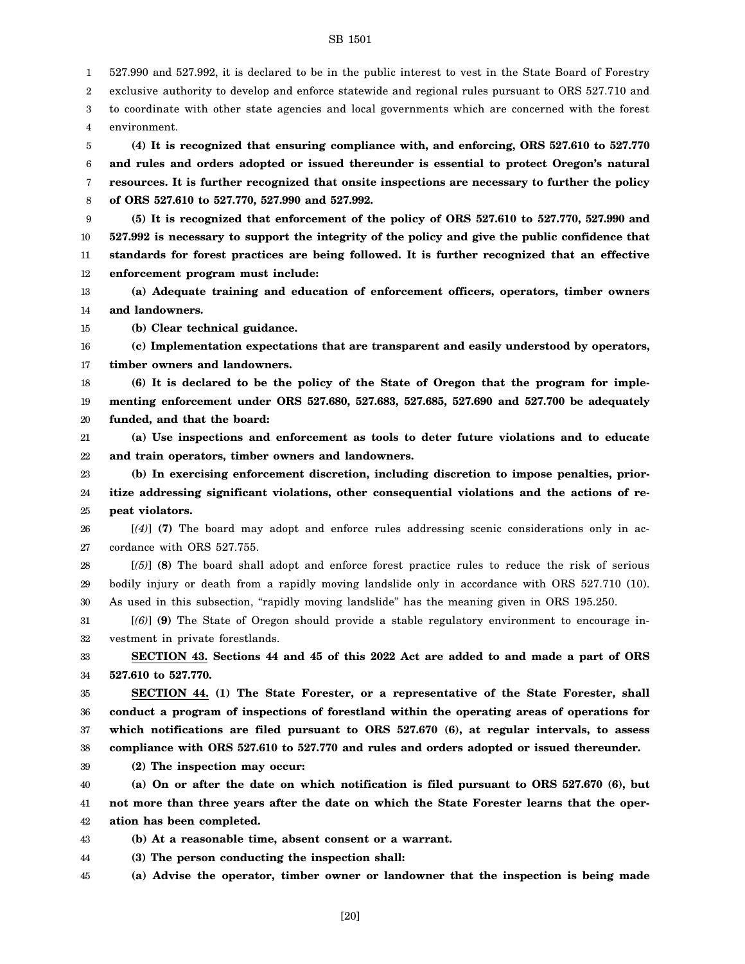1 2 3 4 5 6 7 8 9 10 11 12 13 14 15 16 17 18 19 20 21 22 23 24 25 26 27 28 29 30 31 32 33 34 35 36 37 38 39 527.990 and 527.992, it is declared to be in the public interest to vest in the State Board of Forestry exclusive authority to develop and enforce statewide and regional rules pursuant to ORS 527.710 and to coordinate with other state agencies and local governments which are concerned with the forest environment. **(4) It is recognized that ensuring compliance with, and enforcing, ORS 527.610 to 527.770 and rules and orders adopted or issued thereunder is essential to protect Oregon's natural resources. It is further recognized that onsite inspections are necessary to further the policy of ORS 527.610 to 527.770, 527.990 and 527.992. (5) It is recognized that enforcement of the policy of ORS 527.610 to 527.770, 527.990 and 527.992 is necessary to support the integrity of the policy and give the public confidence that standards for forest practices are being followed. It is further recognized that an effective enforcement program must include: (a) Adequate training and education of enforcement officers, operators, timber owners and landowners. (b) Clear technical guidance. (c) Implementation expectations that are transparent and easily understood by operators, timber owners and landowners. (6) It is declared to be the policy of the State of Oregon that the program for implementing enforcement under ORS 527.680, 527.683, 527.685, 527.690 and 527.700 be adequately funded, and that the board: (a) Use inspections and enforcement as tools to deter future violations and to educate and train operators, timber owners and landowners. (b) In exercising enforcement discretion, including discretion to impose penalties, prioritize addressing significant violations, other consequential violations and the actions of repeat violators.** [*(4)*] **(7)** The board may adopt and enforce rules addressing scenic considerations only in accordance with ORS 527.755. [*(5)*] **(8)** The board shall adopt and enforce forest practice rules to reduce the risk of serious bodily injury or death from a rapidly moving landslide only in accordance with ORS 527.710 (10). As used in this subsection, "rapidly moving landslide" has the meaning given in ORS 195.250. [*(6)*] **(9)** The State of Oregon should provide a stable regulatory environment to encourage investment in private forestlands. **SECTION 43. Sections 44 and 45 of this 2022 Act are added to and made a part of ORS 527.610 to 527.770. SECTION 44. (1) The State Forester, or a representative of the State Forester, shall conduct a program of inspections of forestland within the operating areas of operations for which notifications are filed pursuant to ORS 527.670 (6), at regular intervals, to assess compliance with ORS 527.610 to 527.770 and rules and orders adopted or issued thereunder. (2) The inspection may occur:**

40 41 42 **(a) On or after the date on which notification is filed pursuant to ORS 527.670 (6), but not more than three years after the date on which the State Forester learns that the operation has been completed.**

43 **(b) At a reasonable time, absent consent or a warrant.**

44 **(3) The person conducting the inspection shall:**

45 **(a) Advise the operator, timber owner or landowner that the inspection is being made**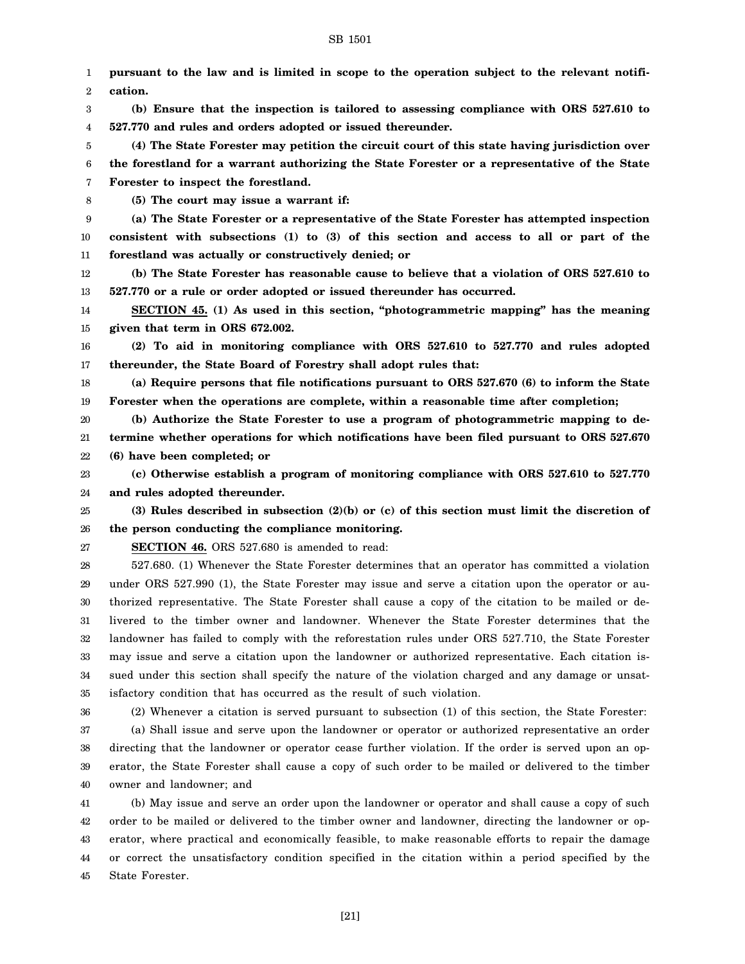1 2 3 4 5 6 7 8 9 10 11 12 13 14 15 16 17 18 19 20 21 22 23 24 25 26 27 28 29 **pursuant to the law and is limited in scope to the operation subject to the relevant notification. (b) Ensure that the inspection is tailored to assessing compliance with ORS 527.610 to 527.770 and rules and orders adopted or issued thereunder. (4) The State Forester may petition the circuit court of this state having jurisdiction over the forestland for a warrant authorizing the State Forester or a representative of the State Forester to inspect the forestland. (5) The court may issue a warrant if: (a) The State Forester or a representative of the State Forester has attempted inspection consistent with subsections (1) to (3) of this section and access to all or part of the forestland was actually or constructively denied; or (b) The State Forester has reasonable cause to believe that a violation of ORS 527.610 to 527.770 or a rule or order adopted or issued thereunder has occurred. SECTION 45. (1) As used in this section, "photogrammetric mapping" has the meaning given that term in ORS 672.002. (2) To aid in monitoring compliance with ORS 527.610 to 527.770 and rules adopted thereunder, the State Board of Forestry shall adopt rules that: (a) Require persons that file notifications pursuant to ORS 527.670 (6) to inform the State Forester when the operations are complete, within a reasonable time after completion; (b) Authorize the State Forester to use a program of photogrammetric mapping to determine whether operations for which notifications have been filed pursuant to ORS 527.670 (6) have been completed; or (c) Otherwise establish a program of monitoring compliance with ORS 527.610 to 527.770 and rules adopted thereunder. (3) Rules described in subsection (2)(b) or (c) of this section must limit the discretion of the person conducting the compliance monitoring. SECTION 46.** ORS 527.680 is amended to read: 527.680. (1) Whenever the State Forester determines that an operator has committed a violation under ORS 527.990 (1), the State Forester may issue and serve a citation upon the operator or au-

SB 1501

30 31 32 33 34 35 thorized representative. The State Forester shall cause a copy of the citation to be mailed or delivered to the timber owner and landowner. Whenever the State Forester determines that the landowner has failed to comply with the reforestation rules under ORS 527.710, the State Forester may issue and serve a citation upon the landowner or authorized representative. Each citation issued under this section shall specify the nature of the violation charged and any damage or unsatisfactory condition that has occurred as the result of such violation.

36

37 38 39 40 (2) Whenever a citation is served pursuant to subsection (1) of this section, the State Forester: (a) Shall issue and serve upon the landowner or operator or authorized representative an order directing that the landowner or operator cease further violation. If the order is served upon an operator, the State Forester shall cause a copy of such order to be mailed or delivered to the timber owner and landowner; and

41 42 43 44 45 (b) May issue and serve an order upon the landowner or operator and shall cause a copy of such order to be mailed or delivered to the timber owner and landowner, directing the landowner or operator, where practical and economically feasible, to make reasonable efforts to repair the damage or correct the unsatisfactory condition specified in the citation within a period specified by the State Forester.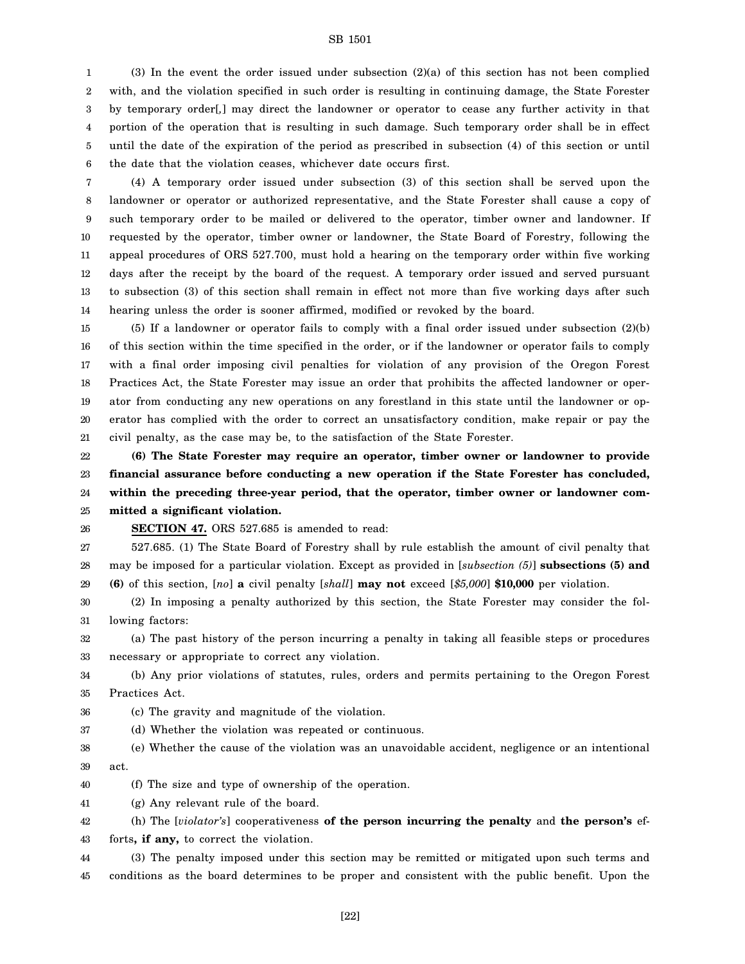1 2 3 4 5 6 (3) In the event the order issued under subsection (2)(a) of this section has not been complied with, and the violation specified in such order is resulting in continuing damage, the State Forester by temporary order[*,*] may direct the landowner or operator to cease any further activity in that portion of the operation that is resulting in such damage. Such temporary order shall be in effect until the date of the expiration of the period as prescribed in subsection (4) of this section or until the date that the violation ceases, whichever date occurs first.

7 8 9 10 11 12 13 14 (4) A temporary order issued under subsection (3) of this section shall be served upon the landowner or operator or authorized representative, and the State Forester shall cause a copy of such temporary order to be mailed or delivered to the operator, timber owner and landowner. If requested by the operator, timber owner or landowner, the State Board of Forestry, following the appeal procedures of ORS 527.700, must hold a hearing on the temporary order within five working days after the receipt by the board of the request. A temporary order issued and served pursuant to subsection (3) of this section shall remain in effect not more than five working days after such hearing unless the order is sooner affirmed, modified or revoked by the board.

15 16 17 18 19 20 21 (5) If a landowner or operator fails to comply with a final order issued under subsection (2)(b) of this section within the time specified in the order, or if the landowner or operator fails to comply with a final order imposing civil penalties for violation of any provision of the Oregon Forest Practices Act, the State Forester may issue an order that prohibits the affected landowner or operator from conducting any new operations on any forestland in this state until the landowner or operator has complied with the order to correct an unsatisfactory condition, make repair or pay the civil penalty, as the case may be, to the satisfaction of the State Forester.

22 23 24 25 **(6) The State Forester may require an operator, timber owner or landowner to provide financial assurance before conducting a new operation if the State Forester has concluded, within the preceding three-year period, that the operator, timber owner or landowner committed a significant violation.**

26

**SECTION 47.** ORS 527.685 is amended to read:

27 28 29 527.685. (1) The State Board of Forestry shall by rule establish the amount of civil penalty that may be imposed for a particular violation. Except as provided in [*subsection (5)*] **subsections (5) and (6)** of this section, [*no*] **a** civil penalty [*shall*] **may not** exceed [*\$5,000*] **\$10,000** per violation.

30 31 (2) In imposing a penalty authorized by this section, the State Forester may consider the following factors:

32 33 (a) The past history of the person incurring a penalty in taking all feasible steps or procedures necessary or appropriate to correct any violation.

34 35 (b) Any prior violations of statutes, rules, orders and permits pertaining to the Oregon Forest Practices Act.

36 (c) The gravity and magnitude of the violation.

37 (d) Whether the violation was repeated or continuous.

38 39 (e) Whether the cause of the violation was an unavoidable accident, negligence or an intentional act.

40 (f) The size and type of ownership of the operation.

41 (g) Any relevant rule of the board.

42 (h) The [*violator's*] cooperativeness **of the person incurring the penalty** and **the person's** ef-

43 forts**, if any,** to correct the violation.

44 45 (3) The penalty imposed under this section may be remitted or mitigated upon such terms and conditions as the board determines to be proper and consistent with the public benefit. Upon the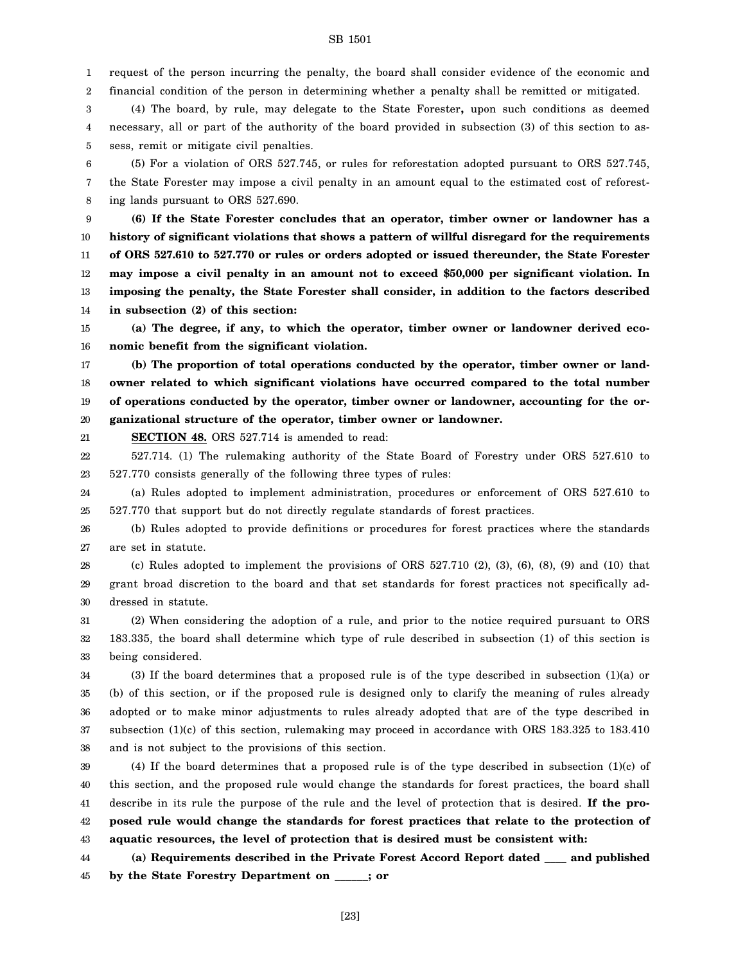1 2 request of the person incurring the penalty, the board shall consider evidence of the economic and financial condition of the person in determining whether a penalty shall be remitted or mitigated.

3 4 5 (4) The board, by rule, may delegate to the State Forester**,** upon such conditions as deemed necessary, all or part of the authority of the board provided in subsection (3) of this section to assess, remit or mitigate civil penalties.

6 7 8 (5) For a violation of ORS 527.745, or rules for reforestation adopted pursuant to ORS 527.745, the State Forester may impose a civil penalty in an amount equal to the estimated cost of reforesting lands pursuant to ORS 527.690.

9 10 11 12 13 14 **(6) If the State Forester concludes that an operator, timber owner or landowner has a history of significant violations that shows a pattern of willful disregard for the requirements of ORS 527.610 to 527.770 or rules or orders adopted or issued thereunder, the State Forester may impose a civil penalty in an amount not to exceed \$50,000 per significant violation. In imposing the penalty, the State Forester shall consider, in addition to the factors described in subsection (2) of this section:**

15 16 **(a) The degree, if any, to which the operator, timber owner or landowner derived economic benefit from the significant violation.**

17 18 19 20 **(b) The proportion of total operations conducted by the operator, timber owner or landowner related to which significant violations have occurred compared to the total number of operations conducted by the operator, timber owner or landowner, accounting for the organizational structure of the operator, timber owner or landowner.**

**SECTION 48.** ORS 527.714 is amended to read:

21

22 23 527.714. (1) The rulemaking authority of the State Board of Forestry under ORS 527.610 to 527.770 consists generally of the following three types of rules:

24 25 (a) Rules adopted to implement administration, procedures or enforcement of ORS 527.610 to 527.770 that support but do not directly regulate standards of forest practices.

26 27 (b) Rules adopted to provide definitions or procedures for forest practices where the standards are set in statute.

28 29 30 (c) Rules adopted to implement the provisions of ORS  $527.710$  (2), (3), (6), (8), (9) and (10) that grant broad discretion to the board and that set standards for forest practices not specifically addressed in statute.

31 32 33 (2) When considering the adoption of a rule, and prior to the notice required pursuant to ORS 183.335, the board shall determine which type of rule described in subsection (1) of this section is being considered.

34 35 36 37 38 (3) If the board determines that a proposed rule is of the type described in subsection (1)(a) or (b) of this section, or if the proposed rule is designed only to clarify the meaning of rules already adopted or to make minor adjustments to rules already adopted that are of the type described in subsection (1)(c) of this section, rulemaking may proceed in accordance with ORS 183.325 to 183.410 and is not subject to the provisions of this section.

39 40 41 42 43 (4) If the board determines that a proposed rule is of the type described in subsection (1)(c) of this section, and the proposed rule would change the standards for forest practices, the board shall describe in its rule the purpose of the rule and the level of protection that is desired. **If the proposed rule would change the standards for forest practices that relate to the protection of aquatic resources, the level of protection that is desired must be consistent with:**

44 45 **(a) Requirements described in the Private Forest Accord Report dated \_\_\_\_ and published by the State Forestry Department on \_\_\_\_\_\_; or**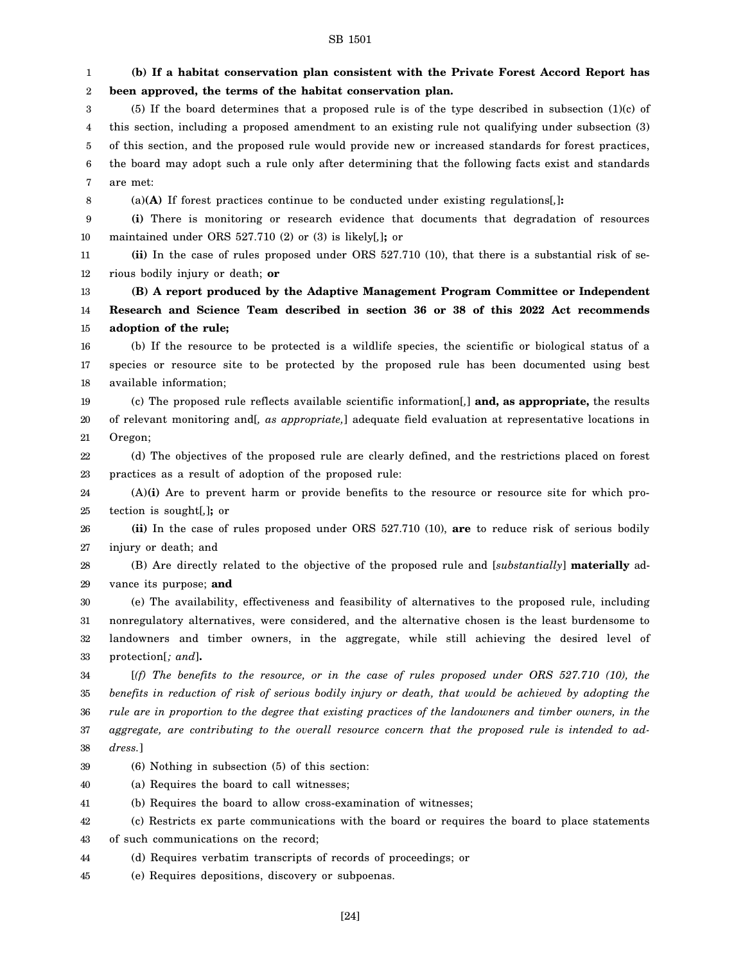1 2 3 4 5 6 7 8 9 10 11 12 13 14 15 16 17 18 19 20 21 22 23 24 25 26 27 28 29 30 31 32 33 34 35 36 37 38 39 40 41 42 43 44 **(b) If a habitat conservation plan consistent with the Private Forest Accord Report has been approved, the terms of the habitat conservation plan.** (5) If the board determines that a proposed rule is of the type described in subsection (1)(c) of this section, including a proposed amendment to an existing rule not qualifying under subsection (3) of this section, and the proposed rule would provide new or increased standards for forest practices, the board may adopt such a rule only after determining that the following facts exist and standards are met: (a)**(A)** If forest practices continue to be conducted under existing regulations[*,*]**: (i)** There is monitoring or research evidence that documents that degradation of resources maintained under ORS 527.710 (2) or (3) is likely[*,*]**;** or **(ii)** In the case of rules proposed under ORS 527.710 (10), that there is a substantial risk of serious bodily injury or death; **or (B) A report produced by the Adaptive Management Program Committee or Independent Research and Science Team described in section 36 or 38 of this 2022 Act recommends adoption of the rule;** (b) If the resource to be protected is a wildlife species, the scientific or biological status of a species or resource site to be protected by the proposed rule has been documented using best available information; (c) The proposed rule reflects available scientific information[*,*] **and, as appropriate,** the results of relevant monitoring and[*, as appropriate,*] adequate field evaluation at representative locations in Oregon; (d) The objectives of the proposed rule are clearly defined, and the restrictions placed on forest practices as a result of adoption of the proposed rule: (A)**(i)** Are to prevent harm or provide benefits to the resource or resource site for which protection is sought[*,*]**;** or **(ii)** In the case of rules proposed under ORS 527.710 (10), **are** to reduce risk of serious bodily injury or death; and (B) Are directly related to the objective of the proposed rule and [*substantially*] **materially** advance its purpose; **and** (e) The availability, effectiveness and feasibility of alternatives to the proposed rule, including nonregulatory alternatives, were considered, and the alternative chosen is the least burdensome to landowners and timber owners, in the aggregate, while still achieving the desired level of protection[*; and*]**.** [*(f) The benefits to the resource, or in the case of rules proposed under ORS 527.710 (10), the benefits in reduction of risk of serious bodily injury or death, that would be achieved by adopting the rule are in proportion to the degree that existing practices of the landowners and timber owners, in the aggregate, are contributing to the overall resource concern that the proposed rule is intended to address.*] (6) Nothing in subsection (5) of this section: (a) Requires the board to call witnesses; (b) Requires the board to allow cross-examination of witnesses; (c) Restricts ex parte communications with the board or requires the board to place statements of such communications on the record; (d) Requires verbatim transcripts of records of proceedings; or

45 (e) Requires depositions, discovery or subpoenas.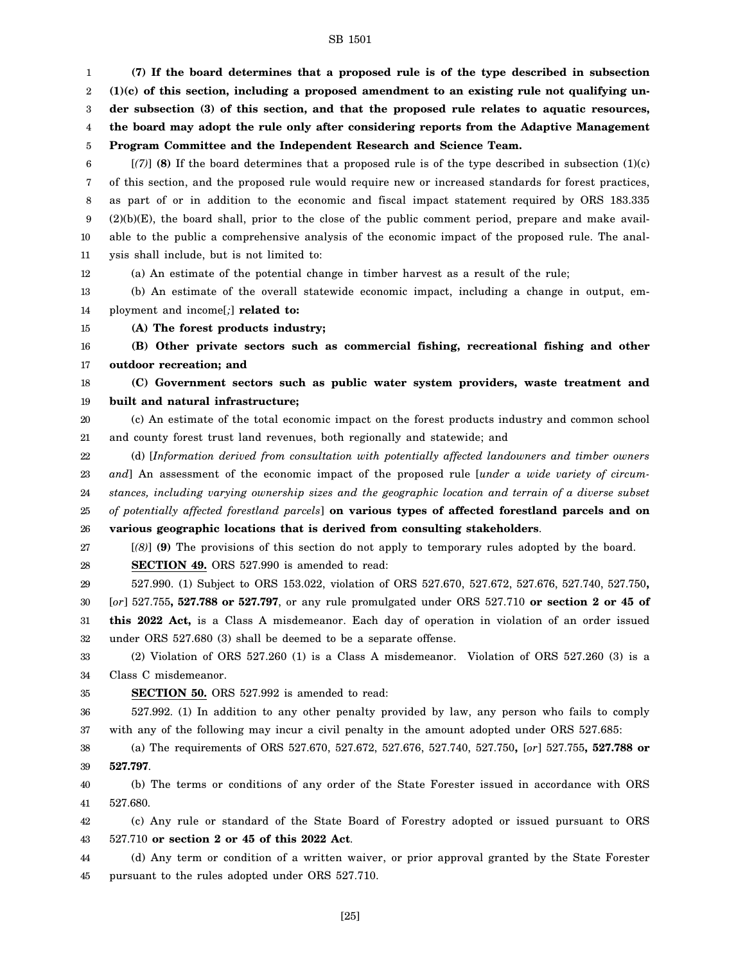1 2 3 4 5 6 7 8 9 10 11 12 13 14 15 16 17 18 19 20 21 22 23 24 25 26 27 28 29 30 31 32 33 34 35 36 37 38 39 40 41 42 43 44 45 **(7) If the board determines that a proposed rule is of the type described in subsection (1)(c) of this section, including a proposed amendment to an existing rule not qualifying under subsection (3) of this section, and that the proposed rule relates to aquatic resources, the board may adopt the rule only after considering reports from the Adaptive Management Program Committee and the Independent Research and Science Team.** [*(7)*] **(8)** If the board determines that a proposed rule is of the type described in subsection (1)(c) of this section, and the proposed rule would require new or increased standards for forest practices, as part of or in addition to the economic and fiscal impact statement required by ORS 183.335 (2)(b)(E), the board shall, prior to the close of the public comment period, prepare and make available to the public a comprehensive analysis of the economic impact of the proposed rule. The analysis shall include, but is not limited to: (a) An estimate of the potential change in timber harvest as a result of the rule; (b) An estimate of the overall statewide economic impact, including a change in output, employment and income[*;*] **related to: (A) The forest products industry; (B) Other private sectors such as commercial fishing, recreational fishing and other outdoor recreation; and (C) Government sectors such as public water system providers, waste treatment and built and natural infrastructure;** (c) An estimate of the total economic impact on the forest products industry and common school and county forest trust land revenues, both regionally and statewide; and (d) [*Information derived from consultation with potentially affected landowners and timber owners and*] An assessment of the economic impact of the proposed rule [*under a wide variety of circumstances, including varying ownership sizes and the geographic location and terrain of a diverse subset of potentially affected forestland parcels*] **on various types of affected forestland parcels and on various geographic locations that is derived from consulting stakeholders**. [*(8)*] **(9)** The provisions of this section do not apply to temporary rules adopted by the board. **SECTION 49.** ORS 527.990 is amended to read: 527.990. (1) Subject to ORS 153.022, violation of ORS 527.670, 527.672, 527.676, 527.740, 527.750**,** [*or*] 527.755**, 527.788 or 527.797**, or any rule promulgated under ORS 527.710 **or section 2 or 45 of this 2022 Act,** is a Class A misdemeanor. Each day of operation in violation of an order issued under ORS 527.680 (3) shall be deemed to be a separate offense. (2) Violation of ORS 527.260 (1) is a Class A misdemeanor. Violation of ORS 527.260 (3) is a Class C misdemeanor. **SECTION 50.** ORS 527.992 is amended to read: 527.992. (1) In addition to any other penalty provided by law, any person who fails to comply with any of the following may incur a civil penalty in the amount adopted under ORS 527.685: (a) The requirements of ORS 527.670, 527.672, 527.676, 527.740, 527.750**,** [*or*] 527.755**, 527.788 or 527.797**. (b) The terms or conditions of any order of the State Forester issued in accordance with ORS 527.680. (c) Any rule or standard of the State Board of Forestry adopted or issued pursuant to ORS 527.710 **or section 2 or 45 of this 2022 Act**. (d) Any term or condition of a written waiver, or prior approval granted by the State Forester pursuant to the rules adopted under ORS 527.710.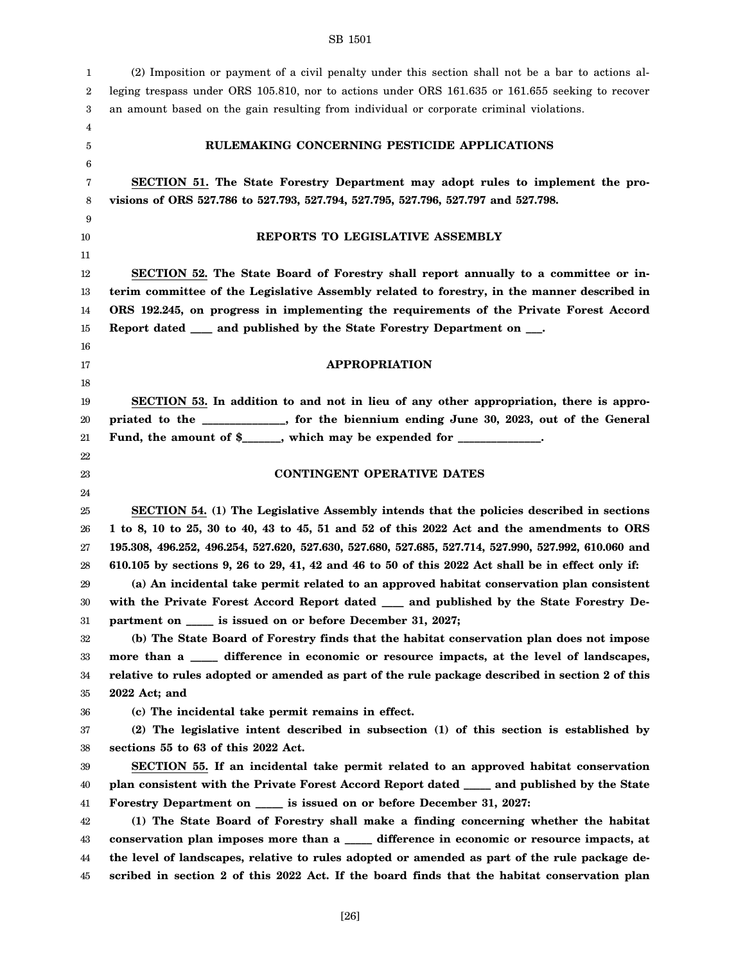| 1        | (2) Imposition or payment of a civil penalty under this section shall not be a bar to actions al-                                                                                                     |
|----------|-------------------------------------------------------------------------------------------------------------------------------------------------------------------------------------------------------|
| 2        | leging trespass under ORS 105.810, nor to actions under ORS 161.635 or 161.655 seeking to recover                                                                                                     |
| 3        | an amount based on the gain resulting from individual or corporate criminal violations.                                                                                                               |
| 4        |                                                                                                                                                                                                       |
| 5        | RULEMAKING CONCERNING PESTICIDE APPLICATIONS                                                                                                                                                          |
| 6        |                                                                                                                                                                                                       |
| 7        | SECTION 51. The State Forestry Department may adopt rules to implement the pro-                                                                                                                       |
| 8        | visions of ORS 527.786 to 527.793, 527.794, 527.795, 527.796, 527.797 and 527.798.                                                                                                                    |
| 9        |                                                                                                                                                                                                       |
| 10       | REPORTS TO LEGISLATIVE ASSEMBLY                                                                                                                                                                       |
| 11       |                                                                                                                                                                                                       |
| 12       | SECTION 52. The State Board of Forestry shall report annually to a committee or in-                                                                                                                   |
| 13       | terim committee of the Legislative Assembly related to forestry, in the manner described in                                                                                                           |
| 14       | ORS 192.245, on progress in implementing the requirements of the Private Forest Accord                                                                                                                |
| 15       | Report dated ____ and published by the State Forestry Department on ___.                                                                                                                              |
| 16       |                                                                                                                                                                                                       |
| 17       | <b>APPROPRIATION</b>                                                                                                                                                                                  |
| 18       |                                                                                                                                                                                                       |
| 19       | SECTION 53. In addition to and not in lieu of any other appropriation, there is appro-                                                                                                                |
| 20       | priated to the ____________, for the biennium ending June 30, 2023, out of the General                                                                                                                |
| 21       | Fund, the amount of \$_____, which may be expended for ___________.                                                                                                                                   |
| $22\,$   |                                                                                                                                                                                                       |
| 23       | <b>CONTINGENT OPERATIVE DATES</b>                                                                                                                                                                     |
| 24       |                                                                                                                                                                                                       |
| 25       | SECTION 54. (1) The Legislative Assembly intends that the policies described in sections                                                                                                              |
| 26       | 1 to 8, 10 to 25, 30 to 40, 43 to 45, 51 and 52 of this $2022$ Act and the amendments to ORS<br>195.308, 496.252, 496.254, 527.620, 527.630, 527.680, 527.685, 527.714, 527.990, 527.992, 610.060 and |
| 27<br>28 | 610.105 by sections 9, 26 to 29, 41, 42 and 46 to 50 of this $2022$ Act shall be in effect only if:                                                                                                   |
| 29       | (a) An incidental take permit related to an approved habitat conservation plan consistent                                                                                                             |
| 30       | with the Private Forest Accord Report dated ___ and published by the State Forestry De-                                                                                                               |
| 31       | partment on _____ is issued on or before December 31, 2027;                                                                                                                                           |
| 32       | (b) The State Board of Forestry finds that the habitat conservation plan does not impose                                                                                                              |
| 33       | more than a _____ difference in economic or resource impacts, at the level of landscapes,                                                                                                             |
| 34       | relative to rules adopted or amended as part of the rule package described in section 2 of this                                                                                                       |
| 35       | 2022 Act; and                                                                                                                                                                                         |
| 36       | (c) The incidental take permit remains in effect.                                                                                                                                                     |
| 37       | (2) The legislative intent described in subsection (1) of this section is established by                                                                                                              |
| 38       | sections 55 to 63 of this 2022 Act.                                                                                                                                                                   |
| 39       | SECTION 55. If an incidental take permit related to an approved habitat conservation                                                                                                                  |
| 40       | plan consistent with the Private Forest Accord Report dated _____ and published by the State                                                                                                          |
| 41       | Forestry Department on _____ is issued on or before December 31, 2027:                                                                                                                                |
| 42       | (1) The State Board of Forestry shall make a finding concerning whether the habitat                                                                                                                   |
| 43       | conservation plan imposes more than a _____ difference in economic or resource impacts, at                                                                                                            |
| 44       | the level of landscapes, relative to rules adopted or amended as part of the rule package de-                                                                                                         |
|          |                                                                                                                                                                                                       |

45 **scribed in section 2 of this 2022 Act. If the board finds that the habitat conservation plan**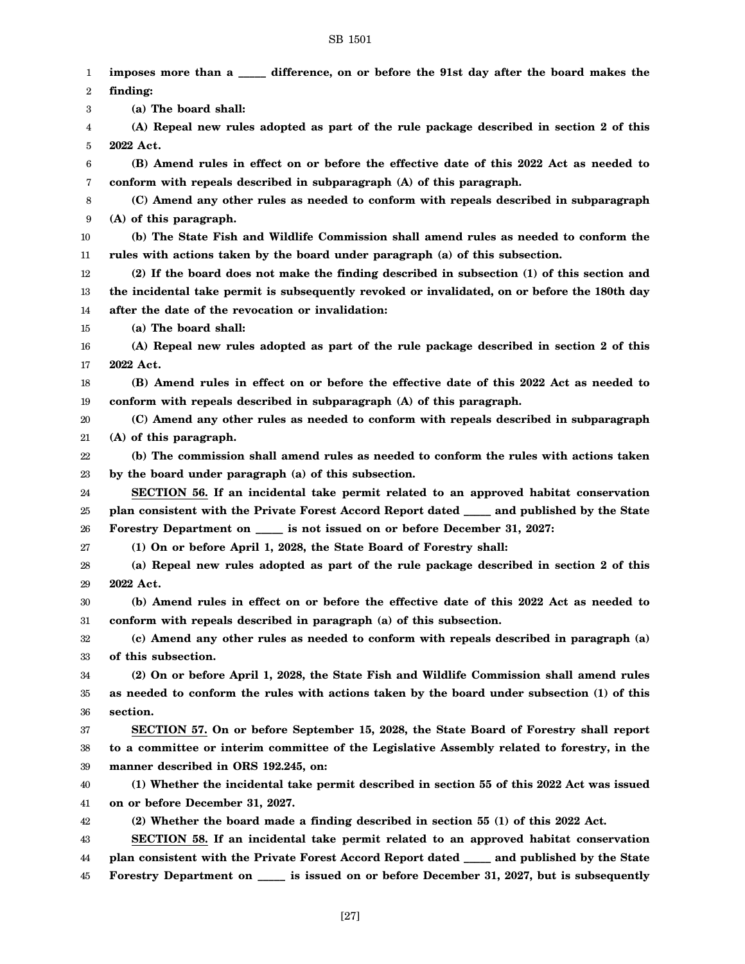1 2 3 4 5 6 7 8 9 10 11 12 13 14 15 16 17 18 19 20 21 22 23 24 25 26 27 28 29 30 31 32 33 34 35 36 37 38 39 40 41 42 43 44 45 **imposes more than a \_\_\_\_\_ difference, on or before the 91st day after the board makes the finding: (a) The board shall: (A) Repeal new rules adopted as part of the rule package described in section 2 of this 2022 Act. (B) Amend rules in effect on or before the effective date of this 2022 Act as needed to conform with repeals described in subparagraph (A) of this paragraph. (C) Amend any other rules as needed to conform with repeals described in subparagraph (A) of this paragraph. (b) The State Fish and Wildlife Commission shall amend rules as needed to conform the rules with actions taken by the board under paragraph (a) of this subsection. (2) If the board does not make the finding described in subsection (1) of this section and the incidental take permit is subsequently revoked or invalidated, on or before the 180th day after the date of the revocation or invalidation: (a) The board shall: (A) Repeal new rules adopted as part of the rule package described in section 2 of this 2022 Act. (B) Amend rules in effect on or before the effective date of this 2022 Act as needed to conform with repeals described in subparagraph (A) of this paragraph. (C) Amend any other rules as needed to conform with repeals described in subparagraph (A) of this paragraph. (b) The commission shall amend rules as needed to conform the rules with actions taken by the board under paragraph (a) of this subsection. SECTION 56. If an incidental take permit related to an approved habitat conservation plan consistent with the Private Forest Accord Report dated \_\_\_\_\_ and published by the State Forestry Department on \_\_\_\_\_ is not issued on or before December 31, 2027: (1) On or before April 1, 2028, the State Board of Forestry shall: (a) Repeal new rules adopted as part of the rule package described in section 2 of this 2022 Act. (b) Amend rules in effect on or before the effective date of this 2022 Act as needed to conform with repeals described in paragraph (a) of this subsection. (c) Amend any other rules as needed to conform with repeals described in paragraph (a) of this subsection. (2) On or before April 1, 2028, the State Fish and Wildlife Commission shall amend rules as needed to conform the rules with actions taken by the board under subsection (1) of this section. SECTION 57. On or before September 15, 2028, the State Board of Forestry shall report to a committee or interim committee of the Legislative Assembly related to forestry, in the manner described in ORS 192.245, on: (1) Whether the incidental take permit described in section 55 of this 2022 Act was issued on or before December 31, 2027. (2) Whether the board made a finding described in section 55 (1) of this 2022 Act. SECTION 58. If an incidental take permit related to an approved habitat conservation plan consistent with the Private Forest Accord Report dated \_\_\_\_\_ and published by the State Forestry Department on \_\_\_\_\_ is issued on or before December 31, 2027, but is subsequently**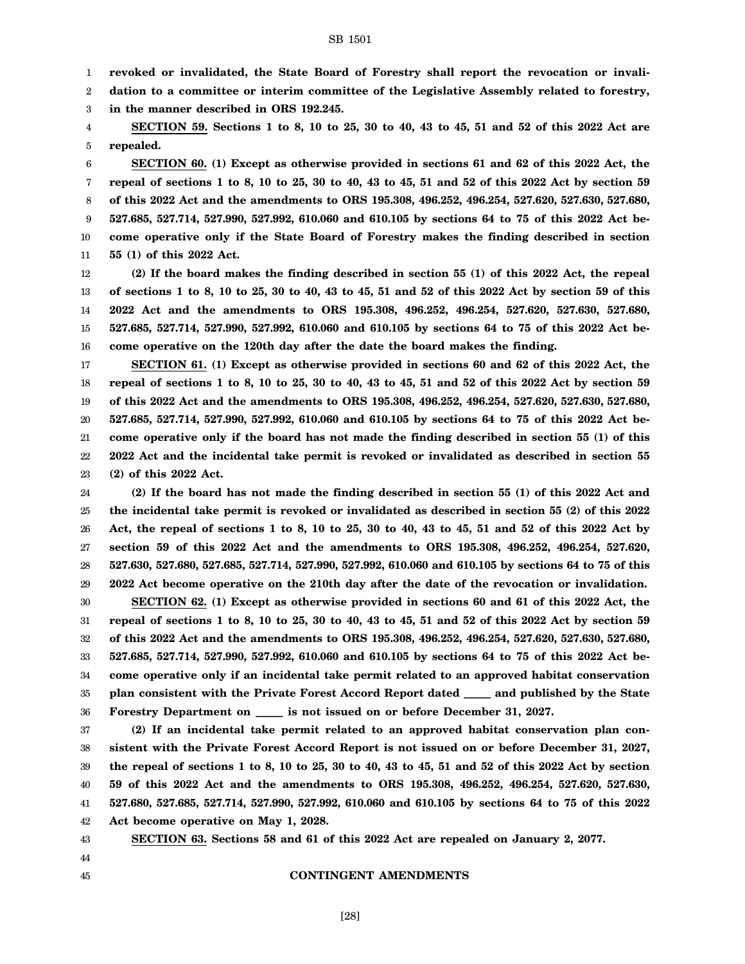1 **revoked or invalidated, the State Board of Forestry shall report the revocation or invali-**

2 **dation to a committee or interim committee of the Legislative Assembly related to forestry,**

3 **in the manner described in ORS 192.245.**

4 5 **SECTION 59. Sections 1 to 8, 10 to 25, 30 to 40, 43 to 45, 51 and 52 of this 2022 Act are repealed.**

6 7 8 9 10 11 **SECTION 60. (1) Except as otherwise provided in sections 61 and 62 of this 2022 Act, the repeal of sections 1 to 8, 10 to 25, 30 to 40, 43 to 45, 51 and 52 of this 2022 Act by section 59 of this 2022 Act and the amendments to ORS 195.308, 496.252, 496.254, 527.620, 527.630, 527.680, 527.685, 527.714, 527.990, 527.992, 610.060 and 610.105 by sections 64 to 75 of this 2022 Act become operative only if the State Board of Forestry makes the finding described in section 55 (1) of this 2022 Act.**

12 13 14 15 16 **(2) If the board makes the finding described in section 55 (1) of this 2022 Act, the repeal of sections 1 to 8, 10 to 25, 30 to 40, 43 to 45, 51 and 52 of this 2022 Act by section 59 of this 2022 Act and the amendments to ORS 195.308, 496.252, 496.254, 527.620, 527.630, 527.680, 527.685, 527.714, 527.990, 527.992, 610.060 and 610.105 by sections 64 to 75 of this 2022 Act become operative on the 120th day after the date the board makes the finding.**

17 18 19 20 21 22 23 **SECTION 61. (1) Except as otherwise provided in sections 60 and 62 of this 2022 Act, the repeal of sections 1 to 8, 10 to 25, 30 to 40, 43 to 45, 51 and 52 of this 2022 Act by section 59 of this 2022 Act and the amendments to ORS 195.308, 496.252, 496.254, 527.620, 527.630, 527.680, 527.685, 527.714, 527.990, 527.992, 610.060 and 610.105 by sections 64 to 75 of this 2022 Act become operative only if the board has not made the finding described in section 55 (1) of this 2022 Act and the incidental take permit is revoked or invalidated as described in section 55 (2) of this 2022 Act.**

24 25 26 27 28 29 **(2) If the board has not made the finding described in section 55 (1) of this 2022 Act and the incidental take permit is revoked or invalidated as described in section 55 (2) of this 2022 Act, the repeal of sections 1 to 8, 10 to 25, 30 to 40, 43 to 45, 51 and 52 of this 2022 Act by section 59 of this 2022 Act and the amendments to ORS 195.308, 496.252, 496.254, 527.620, 527.630, 527.680, 527.685, 527.714, 527.990, 527.992, 610.060 and 610.105 by sections 64 to 75 of this 2022 Act become operative on the 210th day after the date of the revocation or invalidation.**

30 31 32 33 34 35 36 **SECTION 62. (1) Except as otherwise provided in sections 60 and 61 of this 2022 Act, the repeal of sections 1 to 8, 10 to 25, 30 to 40, 43 to 45, 51 and 52 of this 2022 Act by section 59 of this 2022 Act and the amendments to ORS 195.308, 496.252, 496.254, 527.620, 527.630, 527.680, 527.685, 527.714, 527.990, 527.992, 610.060 and 610.105 by sections 64 to 75 of this 2022 Act become operative only if an incidental take permit related to an approved habitat conservation plan consistent with the Private Forest Accord Report dated \_\_\_\_\_ and published by the State Forestry Department on \_\_\_\_\_ is not issued on or before December 31, 2027.**

37 38 39 40 41 42 **(2) If an incidental take permit related to an approved habitat conservation plan consistent with the Private Forest Accord Report is not issued on or before December 31, 2027, the repeal of sections 1 to 8, 10 to 25, 30 to 40, 43 to 45, 51 and 52 of this 2022 Act by section 59 of this 2022 Act and the amendments to ORS 195.308, 496.252, 496.254, 527.620, 527.630, 527.680, 527.685, 527.714, 527.990, 527.992, 610.060 and 610.105 by sections 64 to 75 of this 2022 Act become operative on May 1, 2028.**

- 43 44
- 45

**CONTINGENT AMENDMENTS**

**SECTION 63. Sections 58 and 61 of this 2022 Act are repealed on January 2, 2077.**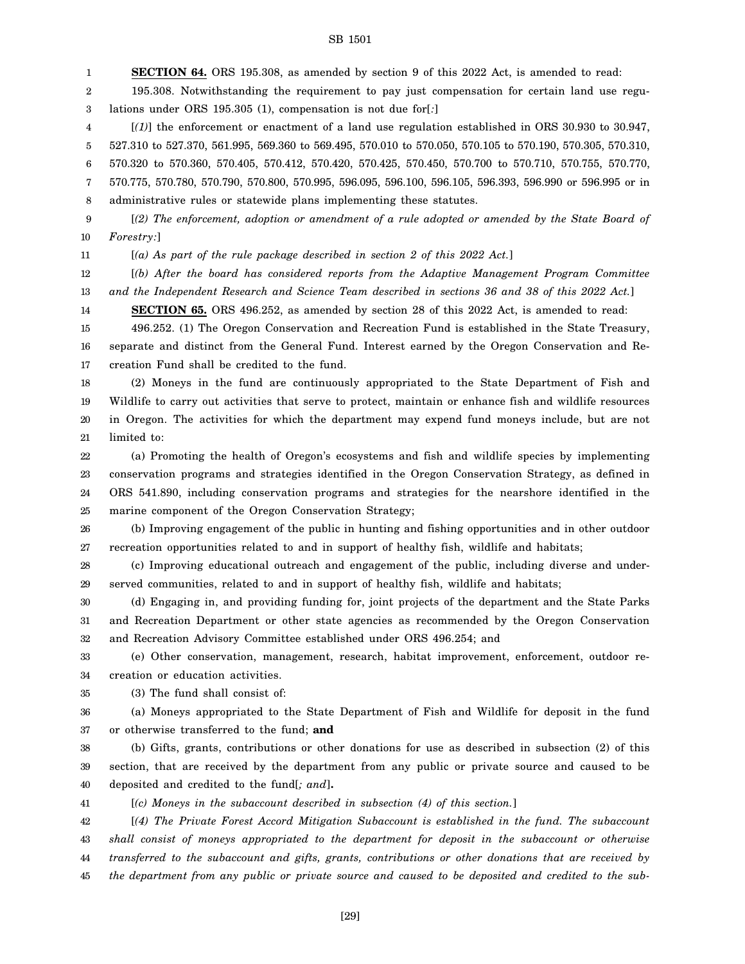**SECTION 64.** ORS 195.308, as amended by section 9 of this 2022 Act, is amended to read:

1

2 3 4 5 6 7 8 9 10 11 12 13 14 15 16 17 18 19 20 21 22 23 24 25 26 27 28 29 30 31 32 33 34 35 36 37 38 39 40 41 42 43 44 45 195.308. Notwithstanding the requirement to pay just compensation for certain land use regulations under ORS 195.305 (1), compensation is not due for[*:*] [*(1)*] the enforcement or enactment of a land use regulation established in ORS 30.930 to 30.947, 527.310 to 527.370, 561.995, 569.360 to 569.495, 570.010 to 570.050, 570.105 to 570.190, 570.305, 570.310, 570.320 to 570.360, 570.405, 570.412, 570.420, 570.425, 570.450, 570.700 to 570.710, 570.755, 570.770, 570.775, 570.780, 570.790, 570.800, 570.995, 596.095, 596.100, 596.105, 596.393, 596.990 or 596.995 or in administrative rules or statewide plans implementing these statutes. [*(2) The enforcement, adoption or amendment of a rule adopted or amended by the State Board of Forestry:*] [*(a) As part of the rule package described in section 2 of this 2022 Act.*] [*(b) After the board has considered reports from the Adaptive Management Program Committee and the Independent Research and Science Team described in sections 36 and 38 of this 2022 Act.*] **SECTION 65.** ORS 496.252, as amended by section 28 of this 2022 Act, is amended to read: 496.252. (1) The Oregon Conservation and Recreation Fund is established in the State Treasury, separate and distinct from the General Fund. Interest earned by the Oregon Conservation and Recreation Fund shall be credited to the fund. (2) Moneys in the fund are continuously appropriated to the State Department of Fish and Wildlife to carry out activities that serve to protect, maintain or enhance fish and wildlife resources in Oregon. The activities for which the department may expend fund moneys include, but are not limited to: (a) Promoting the health of Oregon's ecosystems and fish and wildlife species by implementing conservation programs and strategies identified in the Oregon Conservation Strategy, as defined in ORS 541.890, including conservation programs and strategies for the nearshore identified in the marine component of the Oregon Conservation Strategy; (b) Improving engagement of the public in hunting and fishing opportunities and in other outdoor recreation opportunities related to and in support of healthy fish, wildlife and habitats; (c) Improving educational outreach and engagement of the public, including diverse and underserved communities, related to and in support of healthy fish, wildlife and habitats; (d) Engaging in, and providing funding for, joint projects of the department and the State Parks and Recreation Department or other state agencies as recommended by the Oregon Conservation and Recreation Advisory Committee established under ORS 496.254; and (e) Other conservation, management, research, habitat improvement, enforcement, outdoor recreation or education activities. (3) The fund shall consist of: (a) Moneys appropriated to the State Department of Fish and Wildlife for deposit in the fund or otherwise transferred to the fund; **and** (b) Gifts, grants, contributions or other donations for use as described in subsection (2) of this section, that are received by the department from any public or private source and caused to be deposited and credited to the fund[*; and*]**.** [*(c) Moneys in the subaccount described in subsection (4) of this section.*] [*(4) The Private Forest Accord Mitigation Subaccount is established in the fund. The subaccount shall consist of moneys appropriated to the department for deposit in the subaccount or otherwise transferred to the subaccount and gifts, grants, contributions or other donations that are received by the department from any public or private source and caused to be deposited and credited to the sub-*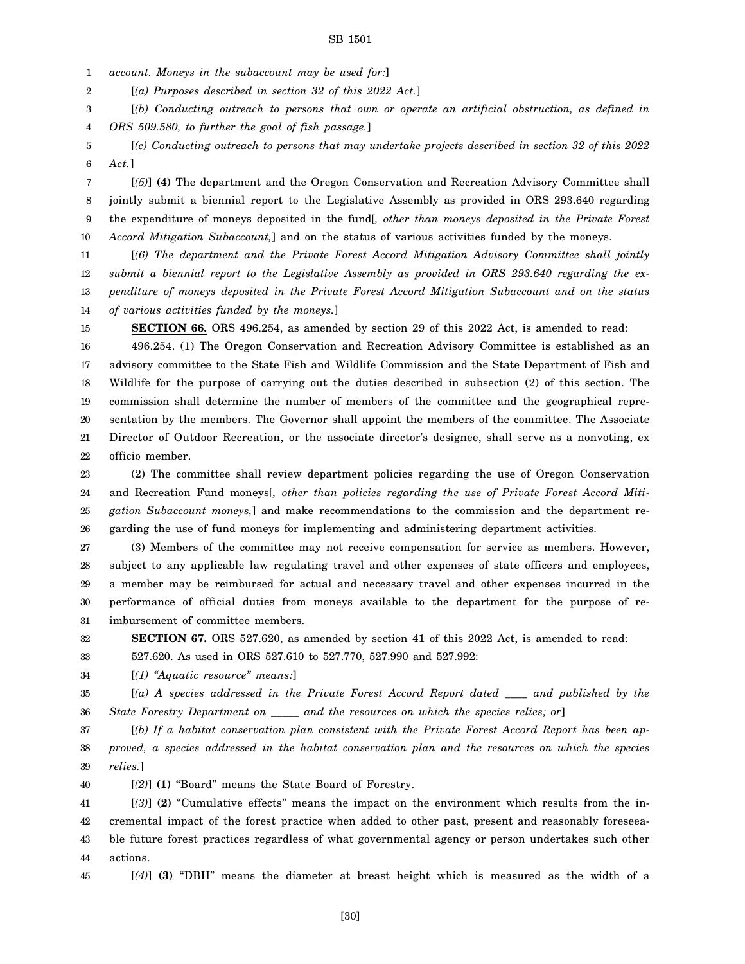1 *account. Moneys in the subaccount may be used for:*]

2 [*(a) Purposes described in section 32 of this 2022 Act.*]

3 4 [*(b) Conducting outreach to persons that own or operate an artificial obstruction, as defined in ORS 509.580, to further the goal of fish passage.*]

5 6 [*(c) Conducting outreach to persons that may undertake projects described in section 32 of this 2022 Act.*]

7 8 9 10 [*(5)*] **(4)** The department and the Oregon Conservation and Recreation Advisory Committee shall jointly submit a biennial report to the Legislative Assembly as provided in ORS 293.640 regarding the expenditure of moneys deposited in the fund[*, other than moneys deposited in the Private Forest Accord Mitigation Subaccount,*] and on the status of various activities funded by the moneys.

11 12 13 14 [*(6) The department and the Private Forest Accord Mitigation Advisory Committee shall jointly submit a biennial report to the Legislative Assembly as provided in ORS 293.640 regarding the expenditure of moneys deposited in the Private Forest Accord Mitigation Subaccount and on the status of various activities funded by the moneys.*]

15 **SECTION 66.** ORS 496.254, as amended by section 29 of this 2022 Act, is amended to read:

16 17 18 19 20 21 22 496.254. (1) The Oregon Conservation and Recreation Advisory Committee is established as an advisory committee to the State Fish and Wildlife Commission and the State Department of Fish and Wildlife for the purpose of carrying out the duties described in subsection (2) of this section. The commission shall determine the number of members of the committee and the geographical representation by the members. The Governor shall appoint the members of the committee. The Associate Director of Outdoor Recreation, or the associate director's designee, shall serve as a nonvoting, ex officio member.

23 24 25 26 (2) The committee shall review department policies regarding the use of Oregon Conservation and Recreation Fund moneys[*, other than policies regarding the use of Private Forest Accord Mitigation Subaccount moneys,*] and make recommendations to the commission and the department regarding the use of fund moneys for implementing and administering department activities.

27 28 29 30 31 (3) Members of the committee may not receive compensation for service as members. However, subject to any applicable law regulating travel and other expenses of state officers and employees, a member may be reimbursed for actual and necessary travel and other expenses incurred in the performance of official duties from moneys available to the department for the purpose of reimbursement of committee members.

32 **SECTION 67.** ORS 527.620, as amended by section 41 of this 2022 Act, is amended to read:

527.620. As used in ORS 527.610 to 527.770, 527.990 and 527.992:

34 [*(1) "Aquatic resource" means:*]

33

35 36 [*(a) A species addressed in the Private Forest Accord Report dated \_\_\_\_ and published by the State Forestry Department on \_\_\_\_\_ and the resources on which the species relies; or*]

37 38 39 [*(b) If a habitat conservation plan consistent with the Private Forest Accord Report has been approved, a species addressed in the habitat conservation plan and the resources on which the species relies.*]

40 [*(2)*] **(1)** "Board" means the State Board of Forestry.

41 42 43 44 [*(3)*] **(2)** "Cumulative effects" means the impact on the environment which results from the incremental impact of the forest practice when added to other past, present and reasonably foreseeable future forest practices regardless of what governmental agency or person undertakes such other actions.

45 [*(4)*] **(3)** "DBH" means the diameter at breast height which is measured as the width of a

[30]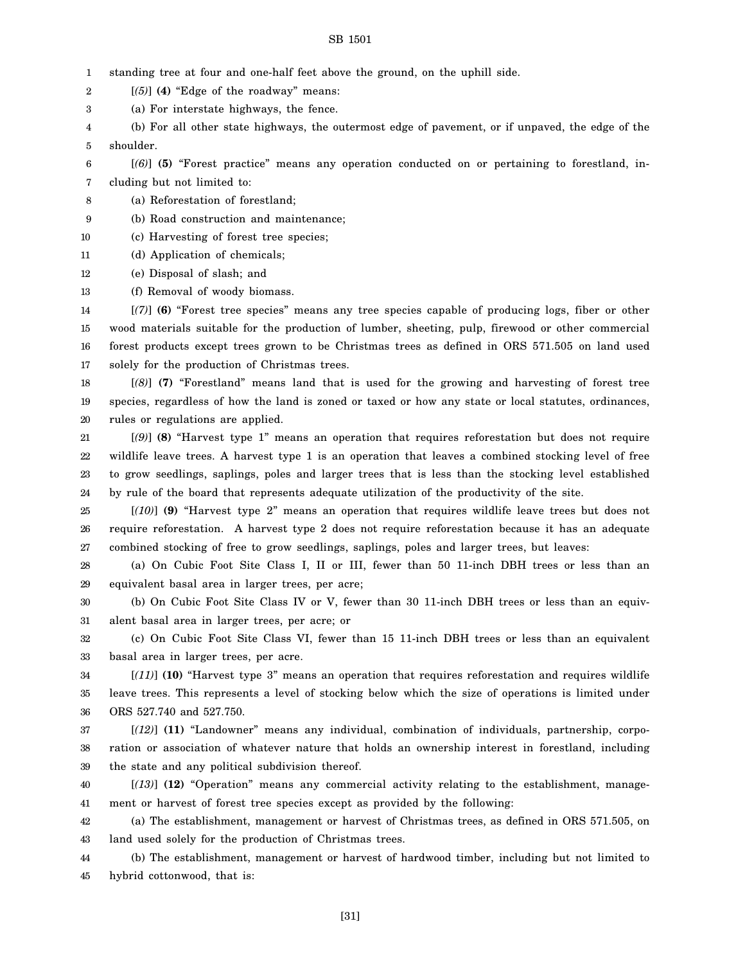- 1 standing tree at four and one-half feet above the ground, on the uphill side.
- 2 [*(5)*] **(4)** "Edge of the roadway" means:
- 3 (a) For interstate highways, the fence.

4 5 (b) For all other state highways, the outermost edge of pavement, or if unpaved, the edge of the shoulder.

6 7 [*(6)*] **(5)** "Forest practice" means any operation conducted on or pertaining to forestland, including but not limited to:

8 (a) Reforestation of forestland;

- 9 (b) Road construction and maintenance;
- 10 (c) Harvesting of forest tree species;
- 11 (d) Application of chemicals;
- 12 (e) Disposal of slash; and

13 (f) Removal of woody biomass.

14 15 16 17 [*(7)*] **(6)** "Forest tree species" means any tree species capable of producing logs, fiber or other wood materials suitable for the production of lumber, sheeting, pulp, firewood or other commercial forest products except trees grown to be Christmas trees as defined in ORS 571.505 on land used solely for the production of Christmas trees.

18 19 20 [*(8)*] **(7)** "Forestland" means land that is used for the growing and harvesting of forest tree species, regardless of how the land is zoned or taxed or how any state or local statutes, ordinances, rules or regulations are applied.

21 22 23 24 [*(9)*] **(8)** "Harvest type 1" means an operation that requires reforestation but does not require wildlife leave trees. A harvest type 1 is an operation that leaves a combined stocking level of free to grow seedlings, saplings, poles and larger trees that is less than the stocking level established by rule of the board that represents adequate utilization of the productivity of the site.

25 26 27 [*(10)*] **(9)** "Harvest type 2" means an operation that requires wildlife leave trees but does not require reforestation. A harvest type 2 does not require reforestation because it has an adequate combined stocking of free to grow seedlings, saplings, poles and larger trees, but leaves:

28 29 (a) On Cubic Foot Site Class I, II or III, fewer than 50 11-inch DBH trees or less than an equivalent basal area in larger trees, per acre;

30 31 (b) On Cubic Foot Site Class IV or V, fewer than 30 11-inch DBH trees or less than an equivalent basal area in larger trees, per acre; or

32 33 (c) On Cubic Foot Site Class VI, fewer than 15 11-inch DBH trees or less than an equivalent basal area in larger trees, per acre.

34 35 36 [*(11)*] **(10)** "Harvest type 3" means an operation that requires reforestation and requires wildlife leave trees. This represents a level of stocking below which the size of operations is limited under ORS 527.740 and 527.750.

37 38 39 [*(12)*] **(11)** "Landowner" means any individual, combination of individuals, partnership, corporation or association of whatever nature that holds an ownership interest in forestland, including the state and any political subdivision thereof.

40 41 [*(13)*] **(12)** "Operation" means any commercial activity relating to the establishment, management or harvest of forest tree species except as provided by the following:

42 43 (a) The establishment, management or harvest of Christmas trees, as defined in ORS 571.505, on land used solely for the production of Christmas trees.

44 45 (b) The establishment, management or harvest of hardwood timber, including but not limited to hybrid cottonwood, that is: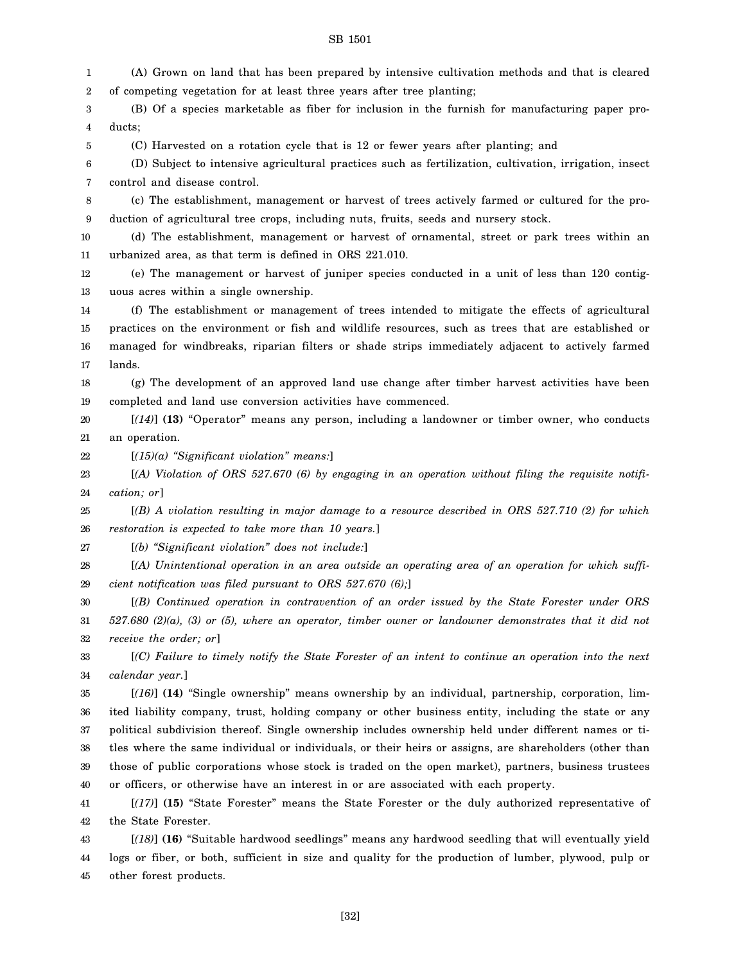1 2 3 4 5 6 7 8 9 10 11 12 13 14 15 16 17 18 19 20 21 22 23 24 25 26 27 28 29 30 31 32 33 34 35 36 37 38 39 40 41 42 (A) Grown on land that has been prepared by intensive cultivation methods and that is cleared of competing vegetation for at least three years after tree planting; (B) Of a species marketable as fiber for inclusion in the furnish for manufacturing paper products; (C) Harvested on a rotation cycle that is 12 or fewer years after planting; and (D) Subject to intensive agricultural practices such as fertilization, cultivation, irrigation, insect control and disease control. (c) The establishment, management or harvest of trees actively farmed or cultured for the production of agricultural tree crops, including nuts, fruits, seeds and nursery stock. (d) The establishment, management or harvest of ornamental, street or park trees within an urbanized area, as that term is defined in ORS 221.010. (e) The management or harvest of juniper species conducted in a unit of less than 120 contiguous acres within a single ownership. (f) The establishment or management of trees intended to mitigate the effects of agricultural practices on the environment or fish and wildlife resources, such as trees that are established or managed for windbreaks, riparian filters or shade strips immediately adjacent to actively farmed lands. (g) The development of an approved land use change after timber harvest activities have been completed and land use conversion activities have commenced. [*(14)*] **(13)** "Operator" means any person, including a landowner or timber owner, who conducts an operation. [*(15)(a) "Significant violation" means:*] [*(A) Violation of ORS 527.670 (6) by engaging in an operation without filing the requisite notification; or*] [*(B) A violation resulting in major damage to a resource described in ORS 527.710 (2) for which restoration is expected to take more than 10 years.*] [*(b) "Significant violation" does not include:*] [*(A) Unintentional operation in an area outside an operating area of an operation for which sufficient notification was filed pursuant to ORS 527.670 (6);*] [*(B) Continued operation in contravention of an order issued by the State Forester under ORS 527.680 (2)(a), (3) or (5), where an operator, timber owner or landowner demonstrates that it did not receive the order; or*] [*(C) Failure to timely notify the State Forester of an intent to continue an operation into the next calendar year.*] [*(16)*] **(14)** "Single ownership" means ownership by an individual, partnership, corporation, limited liability company, trust, holding company or other business entity, including the state or any political subdivision thereof. Single ownership includes ownership held under different names or titles where the same individual or individuals, or their heirs or assigns, are shareholders (other than those of public corporations whose stock is traded on the open market), partners, business trustees or officers, or otherwise have an interest in or are associated with each property. [*(17)*] **(15)** "State Forester" means the State Forester or the duly authorized representative of the State Forester.

43 44 45 [*(18)*] **(16)** "Suitable hardwood seedlings" means any hardwood seedling that will eventually yield logs or fiber, or both, sufficient in size and quality for the production of lumber, plywood, pulp or other forest products.

[32]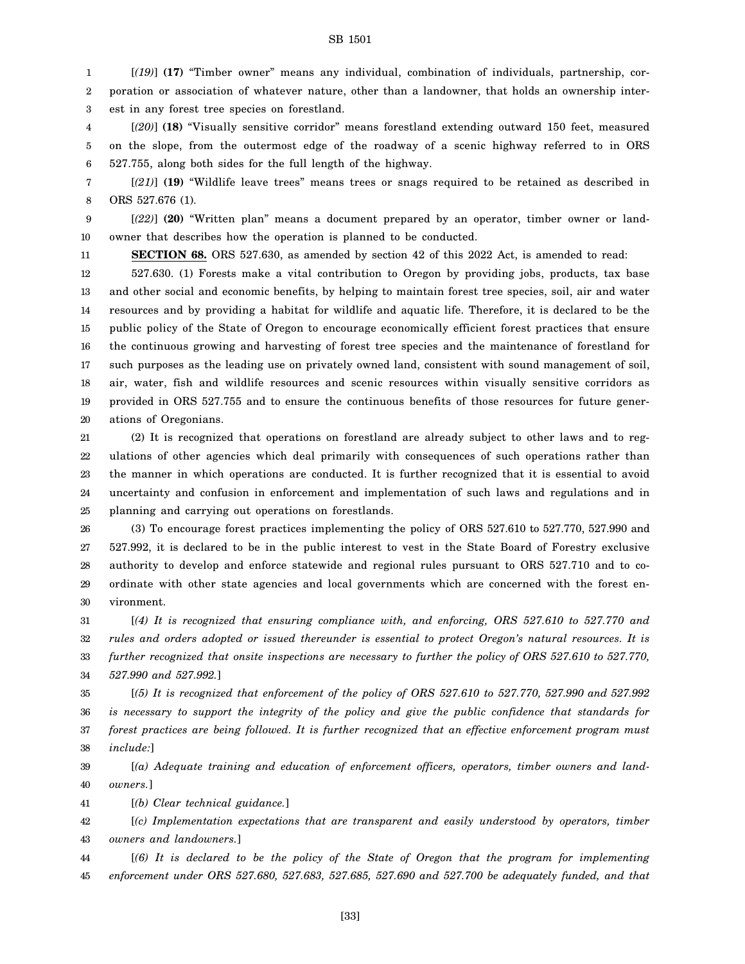1 2 3 [*(19)*] **(17)** "Timber owner" means any individual, combination of individuals, partnership, corporation or association of whatever nature, other than a landowner, that holds an ownership interest in any forest tree species on forestland.

4 5 6 [*(20)*] **(18)** "Visually sensitive corridor" means forestland extending outward 150 feet, measured on the slope, from the outermost edge of the roadway of a scenic highway referred to in ORS 527.755, along both sides for the full length of the highway.

7 8 [*(21)*] **(19)** "Wildlife leave trees" means trees or snags required to be retained as described in ORS 527.676 (1).

9 10 [*(22)*] **(20)** "Written plan" means a document prepared by an operator, timber owner or landowner that describes how the operation is planned to be conducted.

11 **SECTION 68.** ORS 527.630, as amended by section 42 of this 2022 Act, is amended to read:

12 13 14 15 16 17 18 19 20 527.630. (1) Forests make a vital contribution to Oregon by providing jobs, products, tax base and other social and economic benefits, by helping to maintain forest tree species, soil, air and water resources and by providing a habitat for wildlife and aquatic life. Therefore, it is declared to be the public policy of the State of Oregon to encourage economically efficient forest practices that ensure the continuous growing and harvesting of forest tree species and the maintenance of forestland for such purposes as the leading use on privately owned land, consistent with sound management of soil, air, water, fish and wildlife resources and scenic resources within visually sensitive corridors as provided in ORS 527.755 and to ensure the continuous benefits of those resources for future generations of Oregonians.

21 22 23 24 25 (2) It is recognized that operations on forestland are already subject to other laws and to regulations of other agencies which deal primarily with consequences of such operations rather than the manner in which operations are conducted. It is further recognized that it is essential to avoid uncertainty and confusion in enforcement and implementation of such laws and regulations and in planning and carrying out operations on forestlands.

26 27 28 29 30 (3) To encourage forest practices implementing the policy of ORS 527.610 to 527.770, 527.990 and 527.992, it is declared to be in the public interest to vest in the State Board of Forestry exclusive authority to develop and enforce statewide and regional rules pursuant to ORS 527.710 and to coordinate with other state agencies and local governments which are concerned with the forest environment.

31 32 33 34 [*(4) It is recognized that ensuring compliance with, and enforcing, ORS 527.610 to 527.770 and rules and orders adopted or issued thereunder is essential to protect Oregon's natural resources. It is further recognized that onsite inspections are necessary to further the policy of ORS 527.610 to 527.770, 527.990 and 527.992.*]

35 36 37 38 [*(5) It is recognized that enforcement of the policy of ORS 527.610 to 527.770, 527.990 and 527.992 is necessary to support the integrity of the policy and give the public confidence that standards for forest practices are being followed. It is further recognized that an effective enforcement program must include:*]

39 40 [*(a) Adequate training and education of enforcement officers, operators, timber owners and landowners.*]

41 [*(b) Clear technical guidance.*]

42 43 [*(c) Implementation expectations that are transparent and easily understood by operators, timber owners and landowners.*]

44 45 [*(6) It is declared to be the policy of the State of Oregon that the program for implementing enforcement under ORS 527.680, 527.683, 527.685, 527.690 and 527.700 be adequately funded, and that*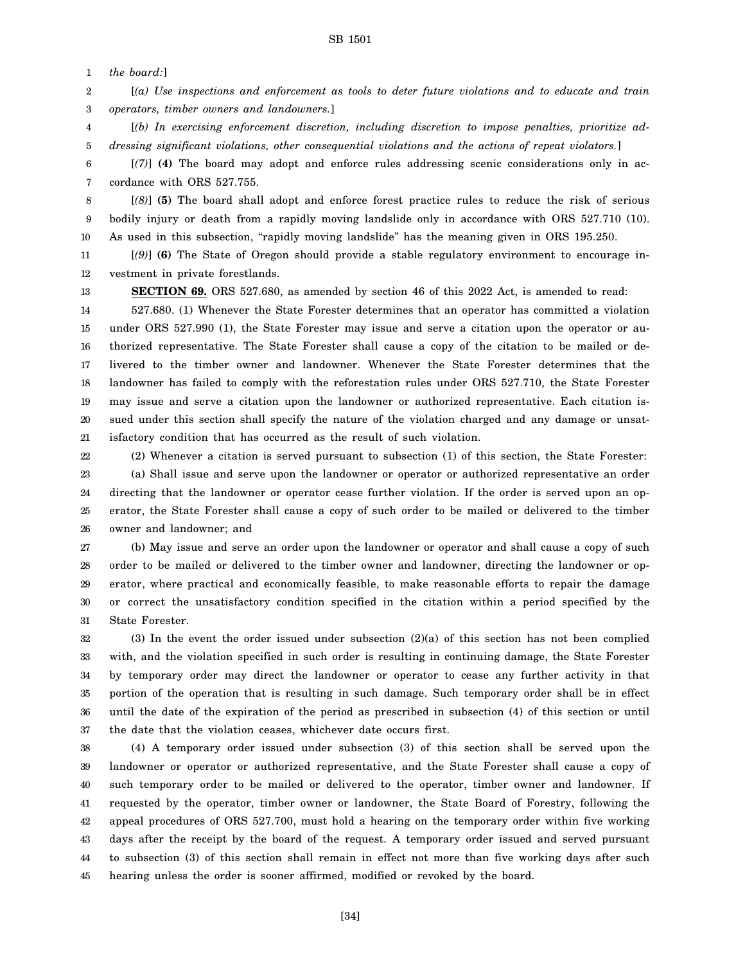1 *the board:*]

13

2 3 [*(a) Use inspections and enforcement as tools to deter future violations and to educate and train operators, timber owners and landowners.*]

4 5 [*(b) In exercising enforcement discretion, including discretion to impose penalties, prioritize addressing significant violations, other consequential violations and the actions of repeat violators.*]

6 7 [*(7)*] **(4)** The board may adopt and enforce rules addressing scenic considerations only in accordance with ORS 527.755.

8 9 10 [*(8)*] **(5)** The board shall adopt and enforce forest practice rules to reduce the risk of serious bodily injury or death from a rapidly moving landslide only in accordance with ORS 527.710 (10). As used in this subsection, "rapidly moving landslide" has the meaning given in ORS 195.250.

11 12 [*(9)*] **(6)** The State of Oregon should provide a stable regulatory environment to encourage investment in private forestlands.

**SECTION 69.** ORS 527.680, as amended by section 46 of this 2022 Act, is amended to read:

14 15 16 17 18 19 20 21 527.680. (1) Whenever the State Forester determines that an operator has committed a violation under ORS 527.990 (1), the State Forester may issue and serve a citation upon the operator or authorized representative. The State Forester shall cause a copy of the citation to be mailed or delivered to the timber owner and landowner. Whenever the State Forester determines that the landowner has failed to comply with the reforestation rules under ORS 527.710, the State Forester may issue and serve a citation upon the landowner or authorized representative. Each citation issued under this section shall specify the nature of the violation charged and any damage or unsatisfactory condition that has occurred as the result of such violation.

22 23 24 25 26 (2) Whenever a citation is served pursuant to subsection (1) of this section, the State Forester: (a) Shall issue and serve upon the landowner or operator or authorized representative an order directing that the landowner or operator cease further violation. If the order is served upon an operator, the State Forester shall cause a copy of such order to be mailed or delivered to the timber owner and landowner; and

27 28 29 30 31 (b) May issue and serve an order upon the landowner or operator and shall cause a copy of such order to be mailed or delivered to the timber owner and landowner, directing the landowner or operator, where practical and economically feasible, to make reasonable efforts to repair the damage or correct the unsatisfactory condition specified in the citation within a period specified by the State Forester.

32 33 34 35 36 37 (3) In the event the order issued under subsection (2)(a) of this section has not been complied with, and the violation specified in such order is resulting in continuing damage, the State Forester by temporary order may direct the landowner or operator to cease any further activity in that portion of the operation that is resulting in such damage. Such temporary order shall be in effect until the date of the expiration of the period as prescribed in subsection (4) of this section or until the date that the violation ceases, whichever date occurs first.

38 39 40 41 42 43 44 45 (4) A temporary order issued under subsection (3) of this section shall be served upon the landowner or operator or authorized representative, and the State Forester shall cause a copy of such temporary order to be mailed or delivered to the operator, timber owner and landowner. If requested by the operator, timber owner or landowner, the State Board of Forestry, following the appeal procedures of ORS 527.700, must hold a hearing on the temporary order within five working days after the receipt by the board of the request. A temporary order issued and served pursuant to subsection (3) of this section shall remain in effect not more than five working days after such hearing unless the order is sooner affirmed, modified or revoked by the board.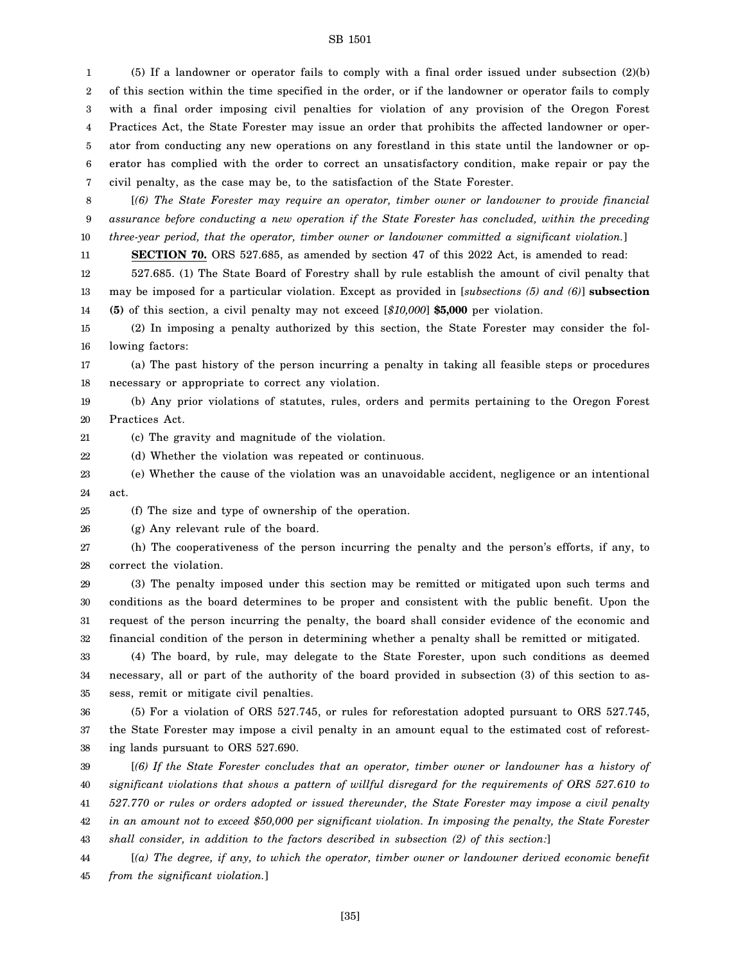1 2 3 4 5 6 7 (5) If a landowner or operator fails to comply with a final order issued under subsection (2)(b) of this section within the time specified in the order, or if the landowner or operator fails to comply with a final order imposing civil penalties for violation of any provision of the Oregon Forest Practices Act, the State Forester may issue an order that prohibits the affected landowner or operator from conducting any new operations on any forestland in this state until the landowner or operator has complied with the order to correct an unsatisfactory condition, make repair or pay the civil penalty, as the case may be, to the satisfaction of the State Forester.

8 9 10 [*(6) The State Forester may require an operator, timber owner or landowner to provide financial assurance before conducting a new operation if the State Forester has concluded, within the preceding three-year period, that the operator, timber owner or landowner committed a significant violation.*]

**SECTION 70.** ORS 527.685, as amended by section 47 of this 2022 Act, is amended to read:

12 13 14 527.685. (1) The State Board of Forestry shall by rule establish the amount of civil penalty that may be imposed for a particular violation. Except as provided in [*subsections (5) and (6)*] **subsection (5)** of this section, a civil penalty may not exceed [*\$10,000*] **\$5,000** per violation.

15 16 (2) In imposing a penalty authorized by this section, the State Forester may consider the following factors:

17 18 (a) The past history of the person incurring a penalty in taking all feasible steps or procedures necessary or appropriate to correct any violation.

19 20 (b) Any prior violations of statutes, rules, orders and permits pertaining to the Oregon Forest Practices Act.

21 (c) The gravity and magnitude of the violation.

22 (d) Whether the violation was repeated or continuous.

23 24 (e) Whether the cause of the violation was an unavoidable accident, negligence or an intentional act.

25 (f) The size and type of ownership of the operation.

26 (g) Any relevant rule of the board.

11

27 28 (h) The cooperativeness of the person incurring the penalty and the person's efforts, if any, to correct the violation.

29 30 31 32 (3) The penalty imposed under this section may be remitted or mitigated upon such terms and conditions as the board determines to be proper and consistent with the public benefit. Upon the request of the person incurring the penalty, the board shall consider evidence of the economic and financial condition of the person in determining whether a penalty shall be remitted or mitigated.

33 34 35 (4) The board, by rule, may delegate to the State Forester, upon such conditions as deemed necessary, all or part of the authority of the board provided in subsection (3) of this section to assess, remit or mitigate civil penalties.

36 37 38 (5) For a violation of ORS 527.745, or rules for reforestation adopted pursuant to ORS 527.745, the State Forester may impose a civil penalty in an amount equal to the estimated cost of reforesting lands pursuant to ORS 527.690.

39 40 41 42 43 [*(6) If the State Forester concludes that an operator, timber owner or landowner has a history of significant violations that shows a pattern of willful disregard for the requirements of ORS 527.610 to 527.770 or rules or orders adopted or issued thereunder, the State Forester may impose a civil penalty in an amount not to exceed \$50,000 per significant violation. In imposing the penalty, the State Forester shall consider, in addition to the factors described in subsection (2) of this section:*]

44 45 [*(a) The degree, if any, to which the operator, timber owner or landowner derived economic benefit from the significant violation.*]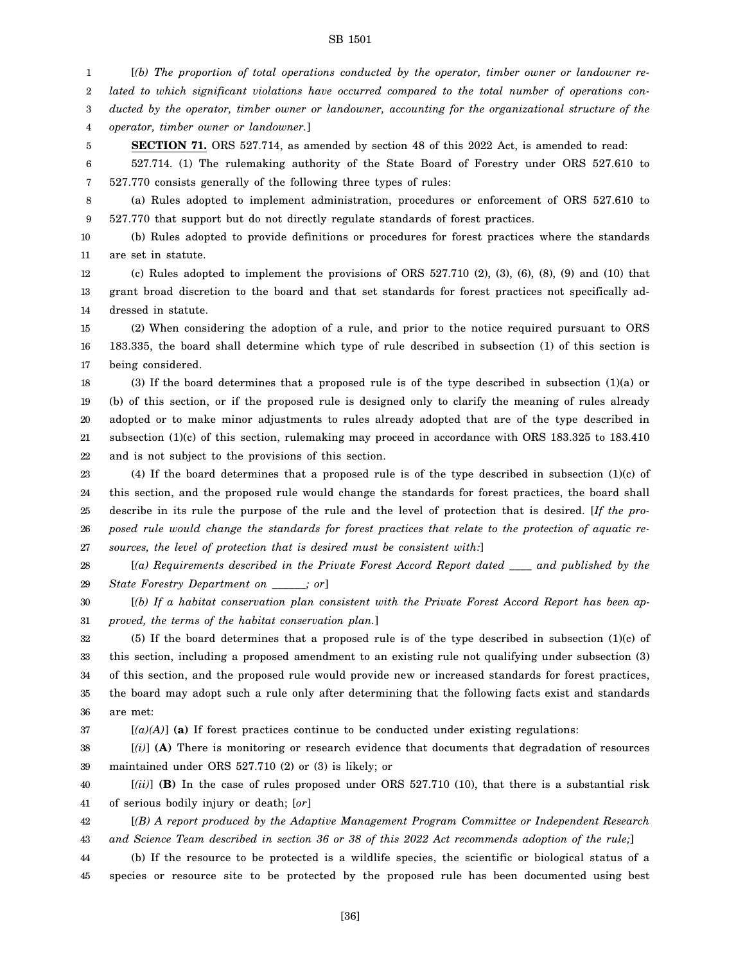1 2 3 4 [*(b) The proportion of total operations conducted by the operator, timber owner or landowner related to which significant violations have occurred compared to the total number of operations conducted by the operator, timber owner or landowner, accounting for the organizational structure of the operator, timber owner or landowner.*]

**SECTION 71.** ORS 527.714, as amended by section 48 of this 2022 Act, is amended to read:

6 7 527.714. (1) The rulemaking authority of the State Board of Forestry under ORS 527.610 to 527.770 consists generally of the following three types of rules:

8 9 (a) Rules adopted to implement administration, procedures or enforcement of ORS 527.610 to 527.770 that support but do not directly regulate standards of forest practices.

10 11 (b) Rules adopted to provide definitions or procedures for forest practices where the standards are set in statute.

12 13 14 (c) Rules adopted to implement the provisions of ORS 527.710 (2), (3), (6), (8), (9) and (10) that grant broad discretion to the board and that set standards for forest practices not specifically addressed in statute.

15 16 17 (2) When considering the adoption of a rule, and prior to the notice required pursuant to ORS 183.335, the board shall determine which type of rule described in subsection (1) of this section is being considered.

18 19 20 21 22 (3) If the board determines that a proposed rule is of the type described in subsection (1)(a) or (b) of this section, or if the proposed rule is designed only to clarify the meaning of rules already adopted or to make minor adjustments to rules already adopted that are of the type described in subsection (1)(c) of this section, rulemaking may proceed in accordance with ORS 183.325 to 183.410 and is not subject to the provisions of this section.

23 24 25 26 27 (4) If the board determines that a proposed rule is of the type described in subsection (1)(c) of this section, and the proposed rule would change the standards for forest practices, the board shall describe in its rule the purpose of the rule and the level of protection that is desired. [*If the proposed rule would change the standards for forest practices that relate to the protection of aquatic resources, the level of protection that is desired must be consistent with:*]

28 29 [*(a) Requirements described in the Private Forest Accord Report dated \_\_\_\_ and published by the State Forestry Department on \_\_\_\_\_\_; or*]

30 31 [*(b) If a habitat conservation plan consistent with the Private Forest Accord Report has been approved, the terms of the habitat conservation plan.*]

32 33 34 35 36 (5) If the board determines that a proposed rule is of the type described in subsection (1)(c) of this section, including a proposed amendment to an existing rule not qualifying under subsection (3) of this section, and the proposed rule would provide new or increased standards for forest practices, the board may adopt such a rule only after determining that the following facts exist and standards are met:

37

5

 $[(a)(A)]$  (a) If forest practices continue to be conducted under existing regulations:

38 39 [*(i)*] **(A)** There is monitoring or research evidence that documents that degradation of resources maintained under ORS 527.710 (2) or (3) is likely; or

40 41  $[(ii)]$  **(B)** In the case of rules proposed under ORS 527.710 (10), that there is a substantial risk of serious bodily injury or death; [*or*]

42 43 [*(B) A report produced by the Adaptive Management Program Committee or Independent Research and Science Team described in section 36 or 38 of this 2022 Act recommends adoption of the rule;*]

44 45 (b) If the resource to be protected is a wildlife species, the scientific or biological status of a species or resource site to be protected by the proposed rule has been documented using best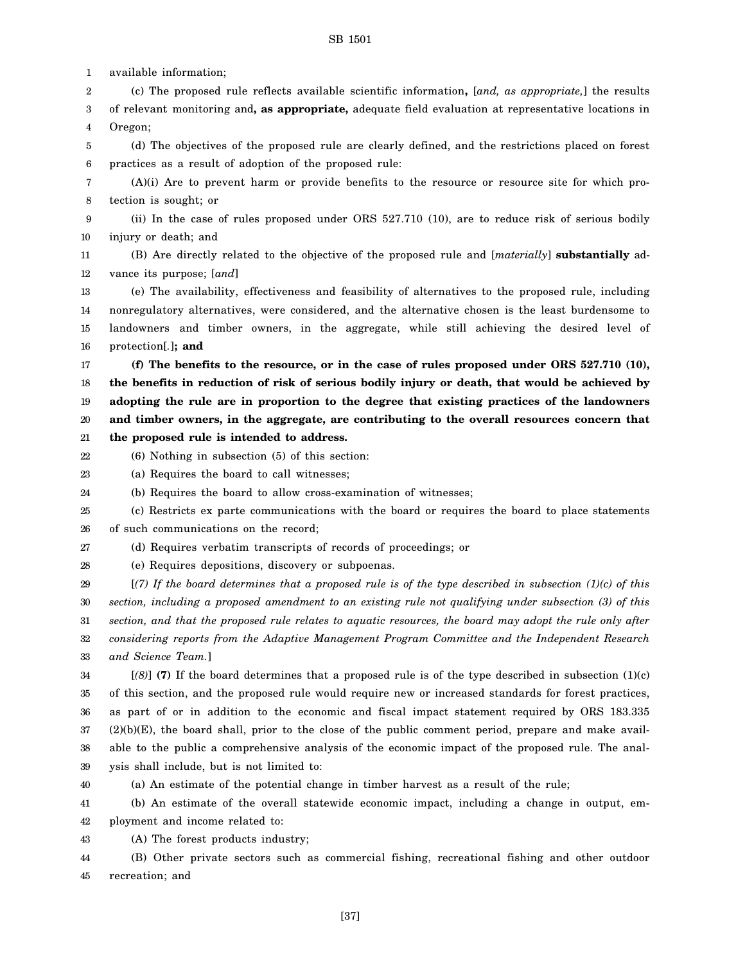1 available information;

2 3 (c) The proposed rule reflects available scientific information**,** [*and, as appropriate,*] the results of relevant monitoring and**, as appropriate,** adequate field evaluation at representative locations in

4 Oregon;

5 6 (d) The objectives of the proposed rule are clearly defined, and the restrictions placed on forest practices as a result of adoption of the proposed rule:

7 8 (A)(i) Are to prevent harm or provide benefits to the resource or resource site for which protection is sought; or

9 10 (ii) In the case of rules proposed under ORS 527.710 (10), are to reduce risk of serious bodily injury or death; and

11 12 (B) Are directly related to the objective of the proposed rule and [*materially*] **substantially** advance its purpose; [*and*]

13 14 15 16 (e) The availability, effectiveness and feasibility of alternatives to the proposed rule, including nonregulatory alternatives, were considered, and the alternative chosen is the least burdensome to landowners and timber owners, in the aggregate, while still achieving the desired level of protection[*.*]**; and**

17 18 19 20 21 **(f) The benefits to the resource, or in the case of rules proposed under ORS 527.710 (10), the benefits in reduction of risk of serious bodily injury or death, that would be achieved by adopting the rule are in proportion to the degree that existing practices of the landowners and timber owners, in the aggregate, are contributing to the overall resources concern that the proposed rule is intended to address.**

22 (6) Nothing in subsection (5) of this section:

23 (a) Requires the board to call witnesses;

24 (b) Requires the board to allow cross-examination of witnesses;

25 26 (c) Restricts ex parte communications with the board or requires the board to place statements of such communications on the record;

27 (d) Requires verbatim transcripts of records of proceedings; or

28 (e) Requires depositions, discovery or subpoenas.

29 30 31 32 33 [*(7) If the board determines that a proposed rule is of the type described in subsection (1)(c) of this section, including a proposed amendment to an existing rule not qualifying under subsection (3) of this section, and that the proposed rule relates to aquatic resources, the board may adopt the rule only after considering reports from the Adaptive Management Program Committee and the Independent Research and Science Team.*]

34 35 36 37 38 39 [*(8)*] **(7)** If the board determines that a proposed rule is of the type described in subsection (1)(c) of this section, and the proposed rule would require new or increased standards for forest practices, as part of or in addition to the economic and fiscal impact statement required by ORS 183.335 (2)(b)(E), the board shall, prior to the close of the public comment period, prepare and make available to the public a comprehensive analysis of the economic impact of the proposed rule. The analysis shall include, but is not limited to:

40 (a) An estimate of the potential change in timber harvest as a result of the rule;

41 42 (b) An estimate of the overall statewide economic impact, including a change in output, employment and income related to:

43 (A) The forest products industry;

44 45 (B) Other private sectors such as commercial fishing, recreational fishing and other outdoor recreation; and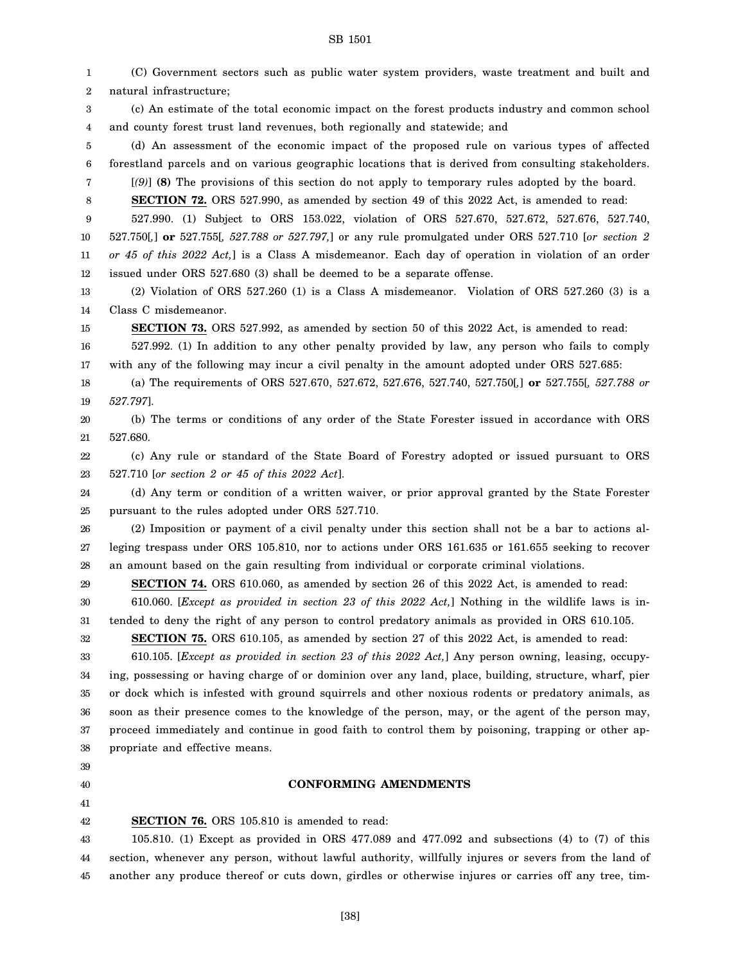1 2 3 4 5 6 7 8 9 10 11 12 13 14 15 16 17 18 19 20 21 22 23 24 25 26 27 28 29 30 31 32 33 34 35 36 37 38 39 40 41 42 43 44 (C) Government sectors such as public water system providers, waste treatment and built and natural infrastructure; (c) An estimate of the total economic impact on the forest products industry and common school and county forest trust land revenues, both regionally and statewide; and (d) An assessment of the economic impact of the proposed rule on various types of affected forestland parcels and on various geographic locations that is derived from consulting stakeholders. [*(9)*] **(8)** The provisions of this section do not apply to temporary rules adopted by the board. **SECTION 72.** ORS 527.990, as amended by section 49 of this 2022 Act, is amended to read: 527.990. (1) Subject to ORS 153.022, violation of ORS 527.670, 527.672, 527.676, 527.740, 527.750[*,*] **or** 527.755[*, 527.788 or 527.797,*] or any rule promulgated under ORS 527.710 [*or section 2 or 45 of this 2022 Act,*] is a Class A misdemeanor. Each day of operation in violation of an order issued under ORS 527.680 (3) shall be deemed to be a separate offense. (2) Violation of ORS 527.260 (1) is a Class A misdemeanor. Violation of ORS 527.260 (3) is a Class C misdemeanor. **SECTION 73.** ORS 527.992, as amended by section 50 of this 2022 Act, is amended to read: 527.992. (1) In addition to any other penalty provided by law, any person who fails to comply with any of the following may incur a civil penalty in the amount adopted under ORS 527.685: (a) The requirements of ORS 527.670, 527.672, 527.676, 527.740, 527.750[*,*] **or** 527.755[*, 527.788 or 527.797*]. (b) The terms or conditions of any order of the State Forester issued in accordance with ORS 527.680. (c) Any rule or standard of the State Board of Forestry adopted or issued pursuant to ORS 527.710 [*or section 2 or 45 of this 2022 Act*]. (d) Any term or condition of a written waiver, or prior approval granted by the State Forester pursuant to the rules adopted under ORS 527.710. (2) Imposition or payment of a civil penalty under this section shall not be a bar to actions alleging trespass under ORS 105.810, nor to actions under ORS 161.635 or 161.655 seeking to recover an amount based on the gain resulting from individual or corporate criminal violations. **SECTION 74.** ORS 610.060, as amended by section 26 of this 2022 Act, is amended to read: 610.060. [*Except as provided in section 23 of this 2022 Act,*] Nothing in the wildlife laws is intended to deny the right of any person to control predatory animals as provided in ORS 610.105. **SECTION 75.** ORS 610.105, as amended by section 27 of this 2022 Act, is amended to read: 610.105. [*Except as provided in section 23 of this 2022 Act,*] Any person owning, leasing, occupying, possessing or having charge of or dominion over any land, place, building, structure, wharf, pier or dock which is infested with ground squirrels and other noxious rodents or predatory animals, as soon as their presence comes to the knowledge of the person, may, or the agent of the person may, proceed immediately and continue in good faith to control them by poisoning, trapping or other appropriate and effective means. **CONFORMING AMENDMENTS SECTION 76.** ORS 105.810 is amended to read: 105.810. (1) Except as provided in ORS 477.089 and 477.092 and subsections (4) to (7) of this section, whenever any person, without lawful authority, willfully injures or severs from the land of

SB 1501

another any produce thereof or cuts down, girdles or otherwise injures or carries off any tree, tim-

45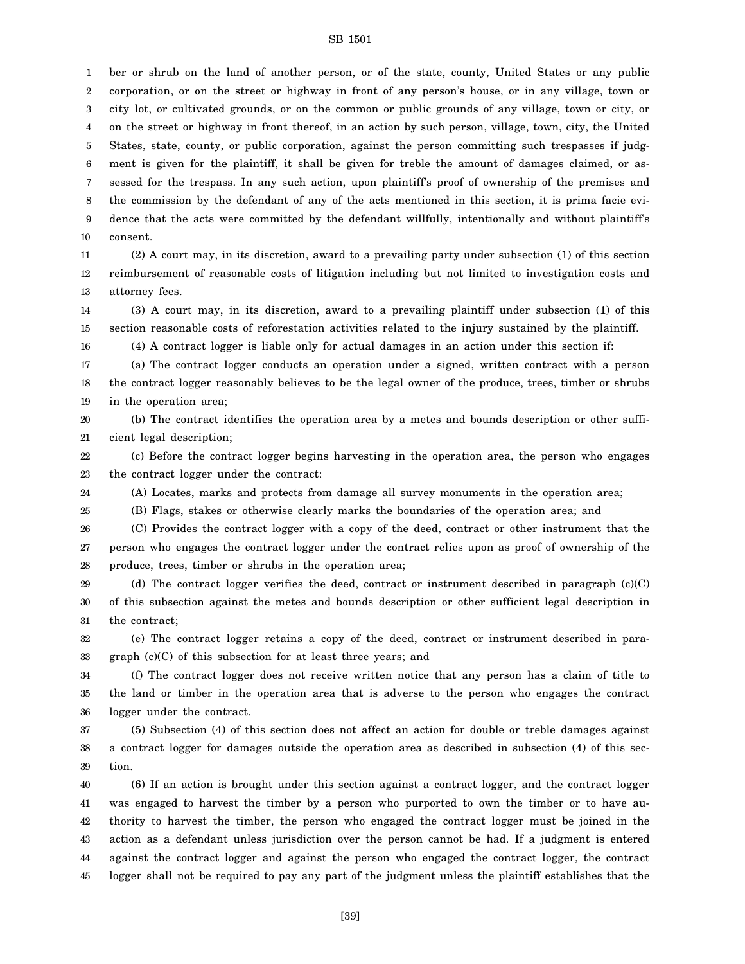1 2 3 4 5 6 7 8 9 10 ber or shrub on the land of another person, or of the state, county, United States or any public corporation, or on the street or highway in front of any person's house, or in any village, town or city lot, or cultivated grounds, or on the common or public grounds of any village, town or city, or on the street or highway in front thereof, in an action by such person, village, town, city, the United States, state, county, or public corporation, against the person committing such trespasses if judgment is given for the plaintiff, it shall be given for treble the amount of damages claimed, or assessed for the trespass. In any such action, upon plaintiff's proof of ownership of the premises and the commission by the defendant of any of the acts mentioned in this section, it is prima facie evidence that the acts were committed by the defendant willfully, intentionally and without plaintiff's consent.

11 12 13 (2) A court may, in its discretion, award to a prevailing party under subsection (1) of this section reimbursement of reasonable costs of litigation including but not limited to investigation costs and attorney fees.

14 15 (3) A court may, in its discretion, award to a prevailing plaintiff under subsection (1) of this section reasonable costs of reforestation activities related to the injury sustained by the plaintiff.

(4) A contract logger is liable only for actual damages in an action under this section if:

16

17 18 19 (a) The contract logger conducts an operation under a signed, written contract with a person the contract logger reasonably believes to be the legal owner of the produce, trees, timber or shrubs in the operation area;

20 21 (b) The contract identifies the operation area by a metes and bounds description or other sufficient legal description;

22 23 (c) Before the contract logger begins harvesting in the operation area, the person who engages the contract logger under the contract:

24 (A) Locates, marks and protects from damage all survey monuments in the operation area;

25 (B) Flags, stakes or otherwise clearly marks the boundaries of the operation area; and

26 27 28 (C) Provides the contract logger with a copy of the deed, contract or other instrument that the person who engages the contract logger under the contract relies upon as proof of ownership of the produce, trees, timber or shrubs in the operation area;

29 30 31 (d) The contract logger verifies the deed, contract or instrument described in paragraph  $(c)(C)$ of this subsection against the metes and bounds description or other sufficient legal description in the contract;

32 33 (e) The contract logger retains a copy of the deed, contract or instrument described in paragraph (c)(C) of this subsection for at least three years; and

34 35 36 (f) The contract logger does not receive written notice that any person has a claim of title to the land or timber in the operation area that is adverse to the person who engages the contract logger under the contract.

37 38 39 (5) Subsection (4) of this section does not affect an action for double or treble damages against a contract logger for damages outside the operation area as described in subsection (4) of this section.

40 41 42 43 44 45 (6) If an action is brought under this section against a contract logger, and the contract logger was engaged to harvest the timber by a person who purported to own the timber or to have authority to harvest the timber, the person who engaged the contract logger must be joined in the action as a defendant unless jurisdiction over the person cannot be had. If a judgment is entered against the contract logger and against the person who engaged the contract logger, the contract logger shall not be required to pay any part of the judgment unless the plaintiff establishes that the